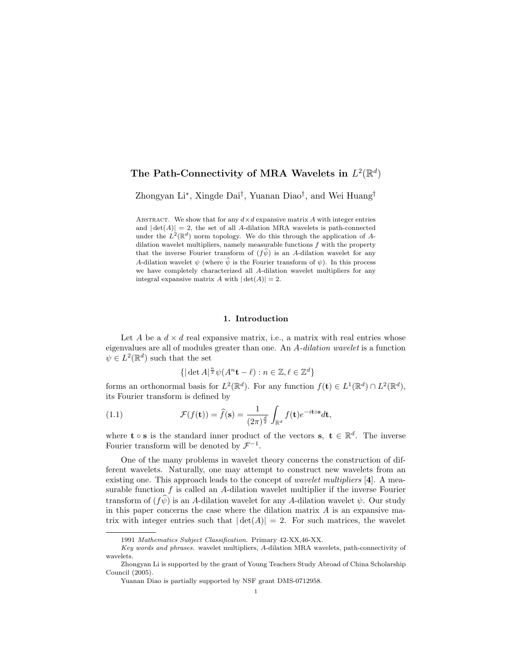# The Path-Connectivity of MRA Wavelets in  $L^2(\mathbb{R}^d)$

Zhongyan Li<sup>∗</sup> , Xingde Dai† , Yuanan Diao† , and Wei Huang†

ABSTRACT. We show that for any  $d \times d$  expansive matrix A with integer entries and  $|\det(A)| = 2$ , the set of all A-dilation MRA wavelets is path-connected under the  $L^2(\mathbb{R}^d)$  norm topology. We do this through the application of Adilation wavelet multipliers, namely measurable functions  $f$  with the property that the inverse Fourier transform of  $(f\psi)$  is an A-dilation wavelet for any A-dilation wavelet  $\psi$  (where  $\hat{\psi}$  is the Fourier transform of  $\psi$ ). In this process we have completely characterized all A-dilation wavelet multipliers for any integral expansive matrix A with  $|\det(A)| = 2$ .

## 1. Introduction

Let A be a  $d \times d$  real expansive matrix, i.e., a matrix with real entries whose eigenvalues are all of modules greater than one. An A-dilation wavelet is a function  $\psi \in L^2(\mathbb{R}^d)$  such that the set

$$
\{|\det A|^{\frac{n}{2}}\psi(A^n\mathbf{t} - \ell) : n \in \mathbb{Z}, \ell \in \mathbb{Z}^d\}
$$

forms an orthonormal basis for  $L^2(\mathbb{R}^d)$ . For any function  $f(\mathbf{t}) \in L^1(\mathbb{R}^d) \cap L^2(\mathbb{R}^d)$ , its Fourier transform is defined by

(1.1) 
$$
\mathcal{F}(f(\mathbf{t})) = \hat{f}(\mathbf{s}) = \frac{1}{(2\pi)^{\frac{d}{2}}} \int_{\mathbb{R}^d} f(\mathbf{t}) e^{-i\mathbf{t}\circ\mathbf{s}} d\mathbf{t},
$$

where **t**  $\circ$  **s** is the standard inner product of the vectors **s**, **t**  $\in \mathbb{R}^d$ . The inverse Fourier transform will be denoted by  $\mathcal{F}^{-1}$ .

One of the many problems in wavelet theory concerns the construction of different wavelets. Naturally, one may attempt to construct new wavelets from an existing one. This approach leads to the concept of *wavelet multipliers*  $|4|$ . A measurable function  $f$  is called an  $A$ -dilation wavelet multiplier if the inverse Fourier transform of  $(f\psi)$  is an A-dilation wavelet for any A-dilation wavelet  $\psi$ . Our study in this paper concerns the case where the dilation matrix  $A$  is an expansive matrix with integer entries such that  $|\det(A)| = 2$ . For such matrices, the wavelet

<sup>1991</sup> Mathematics Subject Classification. Primary 42-XX,46-XX.

Key words and phrases. wavelet multipliers, A-dilation MRA wavelets, path-connectivity of wavelets.

Zhongyan Li is supported by the grant of Young Teachers Study Abroad of China Scholarship Council (2005).

Yuanan Diao is partially supported by NSF grant DMS-0712958.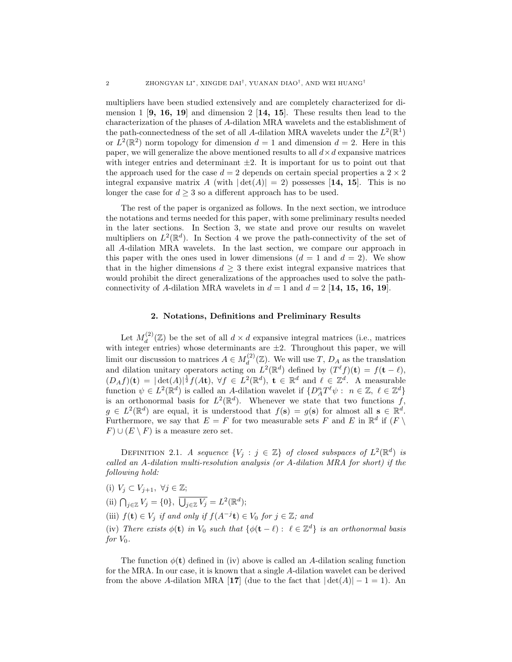multipliers have been studied extensively and are completely characterized for dimension 1  $[9, 16, 19]$  and dimension 2  $[14, 15]$ . These results then lead to the characterization of the phases of A-dilation MRA wavelets and the establishment of the path-connectedness of the set of all A-dilation MRA wavelets under the  $L^2(\mathbb{R}^1)$ or  $L^2(\mathbb{R}^2)$  norm topology for dimension  $d=1$  and dimension  $d=2$ . Here in this paper, we will generalize the above mentioned results to all  $d \times d$  expansive matrices with integer entries and determinant  $\pm 2$ . It is important for us to point out that the approach used for the case  $d = 2$  depends on certain special properties a  $2 \times 2$ integral expansive matrix A (with  $|\det(A)| = 2$ ) possesses [14, 15]. This is no longer the case for  $d \geq 3$  so a different approach has to be used.

The rest of the paper is organized as follows. In the next section, we introduce the notations and terms needed for this paper, with some preliminary results needed in the later sections. In Section 3, we state and prove our results on wavelet multipliers on  $L^2(\mathbb{R}^d)$ . In Section 4 we prove the path-connectivity of the set of all A-dilation MRA wavelets. In the last section, we compare our approach in this paper with the ones used in lower dimensions  $(d = 1 \text{ and } d = 2)$ . We show that in the higher dimensions  $d \geq 3$  there exist integral expansive matrices that would prohibit the direct generalizations of the approaches used to solve the pathconnectivity of A-dilation MRA wavelets in  $d = 1$  and  $d = 2$  [14, 15, 16, 19].

## 2. Notations, Definitions and Preliminary Results

Let  $M_d^{(2)}$  $\mathcal{L}_d^{(2)}(\mathbb{Z})$  be the set of all  $d \times d$  expansive integral matrices (i.e., matrices with integer entries) whose determinants are  $\pm 2$ . Throughout this paper, we will limit our discussion to matrices  $A \in M_d^{(2)}$  $d_d^{(2)}(\mathbb{Z})$ . We will use T,  $D_A$  as the translation and dilation unitary operators acting on  $L^2(\mathbb{R}^d)$  defined by  $(T^{\ell} f)(t) = f(t - \ell)$ ,  $(D_A f)(\mathbf{t}) = |\det(A)|^{\frac{1}{2}} f(A\mathbf{t}), \forall f \in L^2(\mathbb{R}^d), \mathbf{t} \in \mathbb{R}^d \text{ and } \ell \in \mathbb{Z}^d.$  A measurable function  $\psi \in L^2(\mathbb{R}^d)$  is called an A-dilation wavelet if  $\{D_A^nT^{\ell}\psi : n \in \mathbb{Z}, \ell \in \mathbb{Z}^d\}$ is an orthonormal basis for  $L^2(\mathbb{R}^d)$ . Whenever we state that two functions f,  $g \in L^2(\mathbb{R}^d)$  are equal, it is understood that  $f(\mathbf{s}) = g(\mathbf{s})$  for almost all  $\mathbf{s} \in \mathbb{R}^d$ . Furthermore, we say that  $E = F$  for two measurable sets F and E in  $\mathbb{R}^d$  if  $(F \setminus F)$  $F) \cup (E \setminus F)$  is a measure zero set.

DEFINITION 2.1. A sequence  $\{V_j : j \in \mathbb{Z}\}\$  of closed subspaces of  $L^2(\mathbb{R}^d)$  is called an A-dilation multi-resolution analysis (or A-dilation MRA for short) if the following hold:

(i)  $V_j \subset V_{j+1}, \ \forall j \in \mathbb{Z};$ (ii)  $\bigcap_{j\in\mathbb{Z}}V_j=\{0\},\ \overline{\bigcup}$  $\overline{J_{j\in\mathbb{Z}}V_{j}}=L^{2}(\mathbb{R}^{d});$ (iii)  $f(\mathbf{t}) \in V_j$  if and only if  $f(A^{-j}\mathbf{t}) \in V_0$  for  $j \in \mathbb{Z}$ ; and (iv) There exists  $\phi(\mathbf{t})$  in  $V_0$  such that  $\{\phi(\mathbf{t} - \ell) : \ell \in \mathbb{Z}^d\}$  is an orthonormal basis for  $V_0$ .

The function  $\phi(\mathbf{t})$  defined in (iv) above is called an A-dilation scaling function for the MRA. In our case, it is known that a single A-dilation wavelet can be derived from the above A-dilation MRA [17] (due to the fact that  $|\det(A)| - 1 = 1$ ). An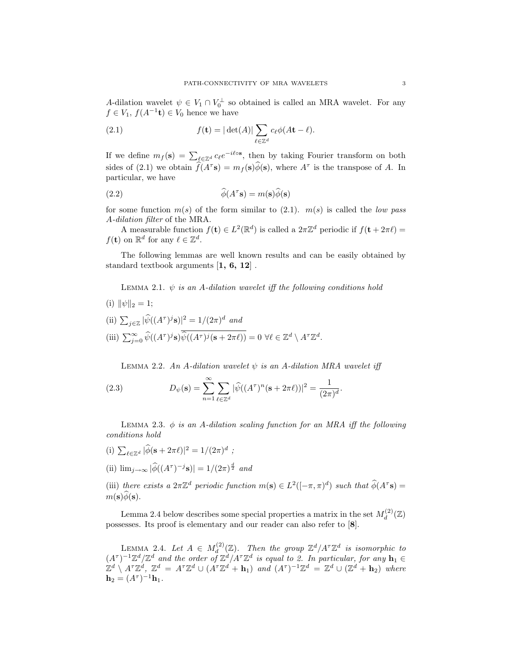A-dilation wavelet  $\psi \in V_1 \cap V_0^{\perp}$  so obtained is called an MRA wavelet. For any  $f \in V_1$ ,  $f(A^{-1}\mathbf{t}) \in V_0$  hence we have

(2.1) 
$$
f(\mathbf{t}) = |\det(A)| \sum_{\ell \in \mathbb{Z}^d} c_{\ell} \phi(A\mathbf{t} - \ell).
$$

If we define  $m_f(\mathbf{s}) = \sum_{\ell \in \mathbb{Z}^d} c_{\ell} e^{-i\ell \circ \mathbf{s}}$ , then by taking Fourier transform on both sides of (2.1) we obtain  $\widehat{f}(A^{\tau}s) = m_f(s)\widehat{\phi}(s)$ , where  $A^{\tau}$  is the transpose of A. In particular, we have

(2.2) 
$$
\widehat{\phi}(A^{\tau} s) = m(s)\widehat{\phi}(s)
$$

for some function  $m(s)$  of the form similar to (2.1).  $m(s)$  is called the low pass A-dilation filter of the MRA.

A measurable function  $f(\mathbf{t}) \in L^2(\mathbb{R}^d)$  is called a  $2\pi \mathbb{Z}^d$  periodic if  $f(\mathbf{t} + 2\pi \ell) =$  $f(\mathbf{t})$  on  $\mathbb{R}^d$  for any  $\ell \in \mathbb{Z}^d$ .

The following lemmas are well known results and can be easily obtained by standard textbook arguments [1, 6, 12] .

LEMMA 2.1.  $\psi$  is an A-dilation wavelet iff the following conditions hold

(i)  $\|\psi\|_2 = 1;$ (ii)  $\sum_{j\in\mathbb{Z}}|\widehat{\psi}((A^{\tau})^j\mathbf{s})|^2=1/(2\pi)^d$  and (iii)  $\sum_{j=0}^{\infty} \widehat{\psi}((A^{\tau})^j \mathbf{s}) \overline{\widehat{\psi}((A^{\tau})^j (\mathbf{s} + 2\pi \ell))} = 0 \ \forall \ell \in \mathbb{Z}^d \setminus A^{\tau} \mathbb{Z}^d.$ 

LEMMA 2.2. An A-dilation wavelet  $\psi$  is an A-dilation MRA wavelet iff

(2.3) 
$$
D_{\psi}(\mathbf{s}) = \sum_{n=1}^{\infty} \sum_{\ell \in \mathbb{Z}^d} |\widehat{\psi}((A^{\tau})^n(\mathbf{s} + 2\pi \ell))|^2 = \frac{1}{(2\pi)^d}.
$$

LEMMA 2.3.  $\phi$  is an A-dilation scaling function for an MRA iff the following conditions hold

- (i)  $\sum_{\ell \in \mathbb{Z}^d} |\widehat{\phi}(\mathbf{s} + 2\pi \ell)|^2 = 1/(2\pi)^d$ ;
- (ii)  $\lim_{j\to\infty} |\widehat{\phi}((A^{\tau})^{-j}\mathbf{s})| = 1/(2\pi)^{\frac{d}{2}}$  and

(iii) there exists a  $2\pi\mathbb{Z}^d$  periodic function  $m(s) \in L^2([-\pi,\pi)^d)$  such that  $\widehat{\phi}(A^{\tau}s)$  $m(\mathbf{s})\phi(\mathbf{s}).$ 

Lemma 2.4 below describes some special properties a matrix in the set  $M_d^{(2)}$  $d^{(2)}(\mathbb{Z})$ possesses. Its proof is elementary and our reader can also refer to [8].

LEMMA 2.4. Let  $A \in M_d^{(2)}$  $\mathbb{Z}_d^{(2)}(\mathbb{Z})$ . Then the group  $\mathbb{Z}^d/ A^{\tau} \mathbb{Z}^d$  is isomorphic to  $(A^{\tau})^{-1}\mathbb{Z}^{d}/\mathbb{Z}^{d}$  and the order of  $\mathbb{Z}^{d}/A^{\tau}\mathbb{Z}^{d}$  is equal to 2. In particular, for any  $\mathbf{h}_{1} \in$  $\mathbb{Z}^d \setminus A^{\tau} \mathbb{Z}^d$ ,  $\mathbb{Z}^d = A^{\tau} \mathbb{Z}^d \cup (A^{\tau} \mathbb{Z}^d + \mathbf{h}_1)$  and  $(A^{\tau})^{-1} \mathbb{Z}^d = \mathbb{Z}^d \cup (\mathbb{Z}^d + \mathbf{h}_2)$  where  $$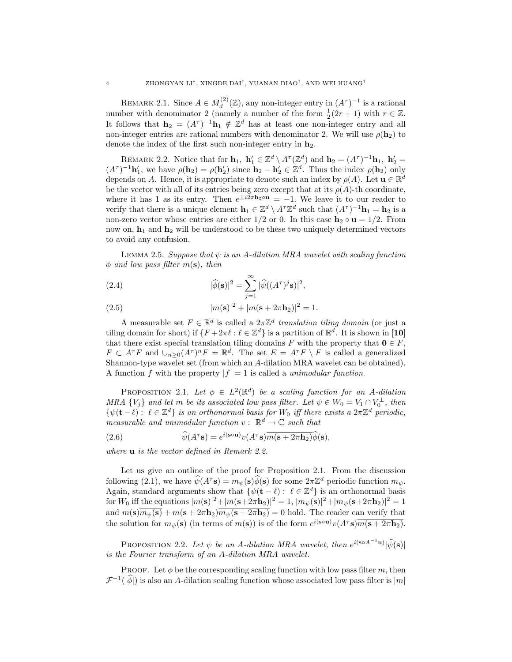REMARK 2.1. Since  $A \in M_d^{(2)}$  $\mathcal{L}_d^{(2)}(\mathbb{Z})$ , any non-integer entry in  $(A^{\tau})^{-1}$  is a rational number with denominator 2 (namely a number of the form  $\frac{1}{2}(2r+1)$  with  $r \in \mathbb{Z}$ . It follows that  $\mathbf{h}_2 = (A^{\tau})^{-1} \mathbf{h}_1 \notin \mathbb{Z}^d$  has at least one non-integer entry and all non-integer entries are rational numbers with denominator 2. We will use  $\rho(\mathbf{h}_2)$  to denote the index of the first such non-integer entry in  $h_2$ .

REMARK 2.2. Notice that for  $\mathbf{h}_1$ ,  $\mathbf{h}'_1 \in \mathbb{Z}^d \setminus A^\tau(\mathbb{Z}^d)$  and  $\mathbf{h}_2 = (A^\tau)^{-1} \mathbf{h}_1$ ,  $\mathbf{h}'_2 =$  $(A^{\tau})^{-1}$ **h'**<sub>1</sub>, we have  $\rho(\mathbf{h}_2) = \rho(\mathbf{h}'_2)$  since  $\mathbf{h}_2 - \mathbf{h}'_2 \in \mathbb{Z}^d$ . Thus the index  $\rho(\mathbf{h}_2)$  only depends on A. Hence, it is appropriate to denote such an index by  $\rho(A)$ . Let  $\mathbf{u} \in \mathbb{R}^d$ be the vector with all of its entries being zero except that at its  $\rho(A)$ -th coordinate, where it has 1 as its entry. Then  $e^{\pm i2\pi \mathbf{h}_2 \circ \mathbf{u}} = -1$ . We leave it to our reader to verify that there is a unique element  $\mathbf{h}_1 \in \mathbb{Z}^d \setminus A^{\tau} \mathbb{Z}^d$  such that  $(A^{\tau})^{-1} \mathbf{h}_1 = \mathbf{h}_2$  is a non-zero vector whose entries are either  $1/2$  or 0. In this case  $h_2 \circ u = 1/2$ . From now on,  $\mathbf{h}_1$  and  $\mathbf{h}_2$  will be understood to be these two uniquely determined vectors to avoid any confusion.

LEMMA 2.5. Suppose that  $\psi$  is an A-dilation MRA wavelet with scaling function  $\phi$  and low pass filter  $m(s)$ , then

(2.4) 
$$
|\widehat{\phi}(\mathbf{s})|^2 = \sum_{j=1}^{\infty} |\widehat{\psi}((A^{\tau})^j \mathbf{s})|^2,
$$

(2.5) 
$$
|m(\mathbf{s})|^2 + |m(\mathbf{s} + 2\pi \mathbf{h}_2)|^2 = 1.
$$

A measurable set  $F \in \mathbb{R}^d$  is called a  $2\pi \mathbb{Z}^d$  translation tiling domain (or just a tiling domain for short) if  $\{F + 2\pi \ell : \ell \in \mathbb{Z}^d\}$  is a partition of  $\mathbb{R}^d$ . It is shown in [10] that there exist special translation tiling domains F with the property that  $\mathbf{0} \in F$ ,  $F \subset A^{\tau}F$  and  $\cup_{n\geq 0}(A^{\tau})^nF = \mathbb{R}^d$ . The set  $E = A^{\tau}F \setminus F$  is called a generalized Shannon-type wavelet set (from which an A-dilation MRA wavelet can be obtained). A function f with the property  $|f| = 1$  is called a *unimodular function*.

**PROPOSITION** 2.1. Let  $\phi \in L^2(\mathbb{R}^d)$  be a scaling function for an A-dilation MRA  $\{V_j\}$  and let m be its associated low pass filter. Let  $\psi \in W_0 = V_1 \cap V_0^{\perp}$ , then  $\{\psi(\mathbf{t}-\ell): \ell \in \mathbb{Z}^d\}$  is an orthonormal basis for  $W_0$  iff there exists a  $2\pi\mathbb{Z}^d$  periodic, measurable and unimodular function  $v: \mathbb{R}^d \to \mathbb{C}$  such that

(2.6) 
$$
\widehat{\psi}(A^{\tau} s) = e^{i(s \circ u)} v(A^{\tau} s) \overline{m(s + 2\pi h_2)} \widehat{\phi}(s),
$$

where **u** is the vector defined in Remark 2.2.

Let us give an outline of the proof for Proposition 2.1. From the discussion following (2.1), we have  $\hat{\psi}(A^{\tau} s) = m_{\psi}(s)\hat{\phi}(s)$  for some  $2\pi\mathbb{Z}^{d}$  periodic function  $m_{\psi}$ . Again, standard arguments show that  $\{\psi(\mathbf{t} - \ell) : \ell \in \mathbb{Z}^d\}$  is an orthonormal basis for  $W_0$  iff the equations  $|m(\mathbf{s})|^2 + |m(\mathbf{s}+2\pi \mathbf{h}_2)|^2 = 1$ ,  $|m_\psi(\mathbf{s})|^2 + |m_\psi(\mathbf{s}+2\pi \mathbf{h}_2)|^2 = 1$ and  $m(s)\overline{m_{\psi}(s)} + m(s + 2\pi h_2)\overline{m_{\psi}(s + 2\pi h_2)} = 0$  hold. The reader can verify that the solution for  $m_{\psi}(\mathbf{s})$  (in terms of  $m(\mathbf{s})$ ) is of the form  $e^{i(\mathbf{s}\circ\mathbf{u})}v(A^{\tau}\mathbf{s})\overline{m(\mathbf{s}+2\pi\mathbf{h}_2)}$ .

PROPOSITION 2.2. Let  $\psi$  be an A-dilation MRA wavelet, then  $e^{i(\mathbf{s} \circ A^{-1}\mathbf{u})}|\hat{\psi}(\mathbf{s})|$ is the Fourier transform of an A-dilation MRA wavelet.

**PROOF.** Let  $\phi$  be the corresponding scaling function with low pass filter m, then  $\mathcal{F}^{-1}(\hat{|\phi|})$  is also an A-dilation scaling function whose associated low pass filter is  $|m|$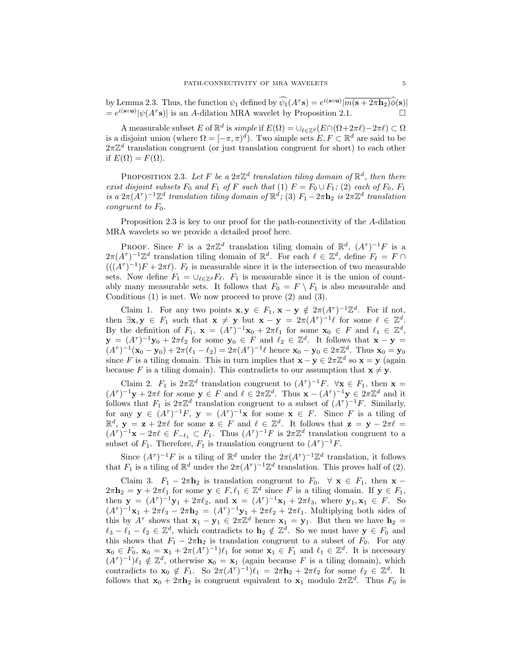by Lemma 2.3. Thus, the function  $\psi_1$  defined by  $\widehat{\psi_1}(A^{\tau} s) = e^{i(s \circ u)} |\overline{m(s + 2\pi h_2)} \widehat{\phi}(s)|$  $= e^{i(\mathbf{s} \cdot \mathbf{u})} |\psi(A^{\tau} \mathbf{s})|$  is an A-dilation MRA wavelet by Proposition 2.1.

A measurable subset E of  $\mathbb{R}^d$  is *simple* if  $E(\Omega) = \bigcup_{\ell \in \mathbb{Z}^d} (E \cap (\Omega + 2\pi \ell) - 2\pi \ell) \subset \Omega$ is a disjoint union (where  $\Omega = [-\pi, \pi)^d$ ). Two simple sets  $E, F \subset \mathbb{R}^d$  are said to be  $2\pi\mathbb{Z}^d$  translation congruent (or just translation congruent for short) to each other if  $E(\Omega) = F(\Omega)$ .

PROPOSITION 2.3. Let F be a  $2\pi\mathbb{Z}^d$  translation tiling domain of  $\mathbb{R}^d$ , then there exist disjoint subsets  $F_0$  and  $F_1$  of F such that (1)  $F = F_0 \cup F_1$ ; (2) each of  $F_0$ ,  $F_1$ is a  $2\pi(A^{\tau})^{-1}\mathbb{Z}^d$  translation tiling domain of  $\mathbb{R}^d$ ; (3)  $F_1 - 2\pi \mathbf{h}_2$  is  $2\pi\mathbb{Z}^d$  translation congruent to  $F_0$ .

Proposition 2.3 is key to our proof for the path-connectivity of the A-dilation MRA wavelets so we provide a detailed proof here.

PROOF. Since F is a  $2\pi\mathbb{Z}^d$  translation tiling domain of  $\mathbb{R}^d$ ,  $(A^{\tau})^{-1}F$  is a  $2\pi (A^{\tau})^{-1}\mathbb{Z}^d$  translation tiling domain of  $\mathbb{R}^d$ . For each  $\ell \in \mathbb{Z}^d$ , define  $F_{\ell} = F \cap$  $(((A^{\tau})^{-1})F + 2\pi \ell)$ .  $F_{\ell}$  is measurable since it is the intersection of two measurable sets. Now define  $F_1 = \bigcup_{\ell \in \mathbb{Z}^d} F_{\ell}$ .  $F_1$  is measurable since it is the union of countably many measurable sets. It follows that  $F_0 = F \setminus F_1$  is also measurable and Conditions (1) is met. We now proceed to prove (2) and (3).

Claim 1. For any two points  $\mathbf{x}, \mathbf{y} \in F_1$ ,  $\mathbf{x} - \mathbf{y} \notin 2\pi (A^{\tau})^{-1}\mathbb{Z}^d$ . For if not, then  $\exists x, y \in F_1$  such that  $x \neq y$  but  $x - y = 2\pi (A^{\tau})^{-1} \ell$  for some  $\ell \in \mathbb{Z}^d$ . By the definition of  $F_1$ ,  $\mathbf{x} = (A^{\tau})^{-1}\mathbf{x}_0 + 2\pi\ell_1$  for some  $\mathbf{x}_0 \in F$  and  $\ell_1 \in \mathbb{Z}^d$ ,  $\mathbf{y} = (A^{\tau})^{-1} \mathbf{y}_0 + 2\pi \ell_2$  for some  $\mathbf{y}_0 \in F$  and  $\ell_2 \in \mathbb{Z}^d$ . It follows that  $\mathbf{x} - \mathbf{y} =$  $(A^{\tau})^{-1}(\mathbf{x}_0 - \mathbf{y}_0) + 2\pi(\ell_1 - \ell_2) = 2\pi(A^{\tau})^{-1}\ell$  hence  $\mathbf{x}_0 - \mathbf{y}_0 \in 2\pi\mathbb{Z}^d$ . Thus  $\mathbf{x}_0 = \mathbf{y}_0$ since F is a tiling domain. This in turn implies that  $\mathbf{x} - \mathbf{y} \in 2\pi \mathbb{Z}^d$  so  $\mathbf{x} = \mathbf{y}$  (again because F is a tiling domain). This contradicts to our assumption that  $\mathbf{x} \neq \mathbf{y}$ .

Claim 2.  $F_1$  is  $2\pi\mathbb{Z}^d$  translation congruent to  $(A^{\tau})^{-1}F$ .  $\forall \mathbf{x} \in F_1$ , then  $\mathbf{x} =$  $(A^{\tau})^{-1}$ **y** +  $2\pi\ell$  for some **y**  $\in$  F and  $\ell \in 2\pi\mathbb{Z}^{d}$ . Thus  $\mathbf{x} - (A^{\tau})^{-1}\mathbf{y} \in 2\pi\mathbb{Z}^{d}$  and it follows that  $F_1$  is  $2\pi\mathbb{Z}^d$  translation congruent to a subset of  $(A^{\tau})^{-1}F$ . Similarly, for any  $y \in (A^{\tau})^{-1}F$ ,  $y = (A^{\tau})^{-1}x$  for some  $x \in F$ . Since F is a tiling of  $\mathbb{R}^d$ ,  $y = z + 2\pi\ell$  for some  $z \in F$  and  $\ell \in \mathbb{Z}^d$ . It follows that  $z = y - 2\pi\ell =$  $(A^{\tau})^{-1}\mathbf{x} - 2\pi\ell \in F_{-\ell_1} \subset F_1$ . Thus  $(A^{\tau})^{-1}F$  is  $2\pi\mathbb{Z}^d$  translation congruent to a subset of  $F_1$ . Therefore,  $F_1$  is translation congruent to  $(A^{\tau})^{-1}F$ .

Since  $(A^{\tau})^{-1}F$  is a tiling of  $\mathbb{R}^{d}$  under the  $2\pi(A^{\tau})^{-1}\mathbb{Z}^{d}$  translation, it follows that  $F_1$  is a tiling of  $\mathbb{R}^d$  under the  $2\pi (A^{\tau})^{-1}\mathbb{Z}^d$  translation. This proves half of (2).

Claim 3.  $F_1 - 2\pi \mathbf{h}_2$  is translation congruent to  $F_0$ .  $\forall \mathbf{x} \in F_1$ , then  $\mathbf{x}$  –  $2\pi \mathbf{h}_2 = \mathbf{y} + 2\pi \ell_1$  for some  $\mathbf{y} \in F, \ell_1 \in \mathbb{Z}^d$  since F is a tiling domain. If  $\mathbf{y} \in F_1$ , then  $y = (A^{\tau})^{-1}y_1 + 2\pi\ell_2$ , and  $x = (A^{\tau})^{-1}x_1 + 2\pi\ell_3$ , where  $y_1, x_1 \in F$ . So  $(A^{\tau})^{-1}\mathbf{x}_1 + 2\pi\ell_3 - 2\pi\mathbf{h}_2 = (A^{\tau})^{-1}\mathbf{y}_1 + 2\pi\ell_2 + 2\pi\ell_1$ . Multiplying both sides of this by  $A^{\tau}$  shows that  $\mathbf{x}_1 - \mathbf{y}_1 \in 2\pi \mathbb{Z}^d$  hence  $\mathbf{x}_1 = \mathbf{y}_1$ . But then we have  $\mathbf{h}_2 =$  $\ell_3 - \ell_1 - \ell_2 \in \mathbb{Z}^d$ , which contradicts to  $\mathbf{h}_2 \notin \mathbb{Z}^d$ . So we must have  $\mathbf{y} \in F_0$  and this shows that  $F_1 - 2\pi \mathbf{h}_2$  is translation congruent to a subset of  $F_0$ . For any  $\mathbf{x}_0 \in F_0$ ,  $\mathbf{x}_0 = \mathbf{x}_1 + 2\pi (A^{\tau})^{-1} \ell_1$  for some  $\mathbf{x}_1 \in F_1$  and  $\ell_1 \in \mathbb{Z}^d$ . It is necessary  $(A^{\tau})^{-1}\ell_1 \notin \mathbb{Z}^d$ , otherwise  $\mathbf{x}_0 = \mathbf{x}_1$  (again because F is a tiling domain), which contradicts to  $\mathbf{x}_0 \notin F_1$ . So  $2\pi (A^{\tau})^{-1}$ ) $\ell_1 = 2\pi \mathbf{h}_2 + 2\pi \ell_2$  for some  $\ell_2 \in \mathbb{Z}^d$ . It follows that  $\mathbf{x}_0 + 2\pi \mathbf{h}_2$  is congruent equivalent to  $\mathbf{x}_1$  modulo  $2\pi \mathbb{Z}^d$ . Thus  $F_0$  is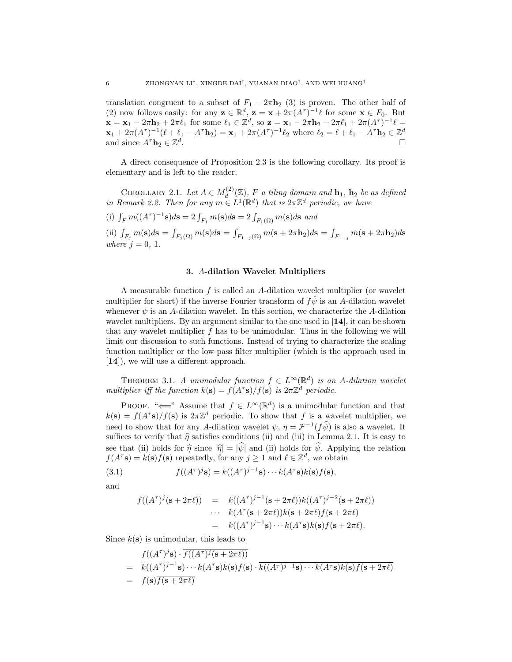translation congruent to a subset of  $F_1 - 2\pi h_2$  (3) is proven. The other half of (2) now follows easily: for any  $\mathbf{z} \in \mathbb{R}^d$ ,  $\mathbf{z} = \mathbf{x} + 2\pi (A^{\tau})^{-1} \ell$  for some  $\mathbf{x} \in F_0$ . But  $\mathbf{x} = \mathbf{x}_1 - 2\pi \mathbf{h}_2 + 2\pi \ell_1$  for some  $\ell_1 \in \mathbb{Z}^d$ , so  $\mathbf{z} = \mathbf{x}_1 - 2\pi \mathbf{h}_2 + 2\pi \ell_1 + 2\pi (A^{\tau})^{-1} \ell =$  $\mathbf{x}_1 + 2\pi (A^{\tau})^{-1}(\ell + \ell_1 - A^{\tau} \mathbf{h}_2) = \mathbf{x}_1 + 2\pi (A^{\tau})^{-1} \ell_2$  where  $\ell_2 = \ell + \ell_1 - A^{\tau} \mathbf{h}_2 \in \mathbb{Z}^d$ and since  $A^{\tau} \mathbf{h}_2 \in \mathbb{Z}^d$ . The contract of the contract of the contract of the contract of the contract of the contract of the contract of the contract of the contract of the contract of the contract of the contract of the contract of the contrac

A direct consequence of Proposition 2.3 is the following corollary. Its proof is elementary and is left to the reader.

COROLLARY 2.1. Let  $A \in M_d^{(2)}$  $d_d^{(2)}(\mathbb{Z})$ , F a tiling domain and  $\mathbf{h}_1$ ,  $\mathbf{h}_2$  be as defined in Remark 2.2. Then for any  $m \in L^1(\mathbb{R}^d)$  that is  $2\pi \mathbb{Z}^d$  periodic, we have

(i)  $\int_F m((A^{\tau})^{-1} s) ds = 2 \int_{F_1} m(s) ds = 2 \int_{F_1(\Omega)} m(s) ds$  and

(ii)  $\int_{F_j} m(\mathbf{s}) d\mathbf{s} =$ R  $\sum_{F_j(\Omega)} m(\mathbf{s}) d\mathbf{s} =$ R  $\int_{F_{1-j}(\Omega)} m(\mathbf{s}+2\pi \mathbf{h}_2)d\mathbf{s}=$ R  $\int_{F_{1-j}} m(\mathbf{s}+2\pi \mathbf{h}_2)d\mathbf{s}$ where  $j = 0, 1$ .

## 3. A-dilation Wavelet Multipliers

A measurable function  $f$  is called an A-dilation wavelet multiplier (or wavelet multiplier for short) if the inverse Fourier transform of  $f\hat{\psi}$  is an A-dilation wavelet whenever  $\psi$  is an A-dilation wavelet. In this section, we characterize the A-dilation wavelet multipliers. By an argument similar to the one used in [14], it can be shown that any wavelet multiplier  $f$  has to be unimodular. Thus in the following we will limit our discussion to such functions. Instead of trying to characterize the scaling function multiplier or the low pass filter multiplier (which is the approach used in [14]), we will use a different approach.

THEOREM 3.1. A unimodular function  $f \in L^{\infty}(\mathbb{R}^d)$  is an A-dilation wavelet multiplier iff the function  $k(s) = f(A^{\tau}s)/f(s)$  is  $2\pi\mathbb{Z}^d$  periodic.

PROOF. " $\Longleftarrow$ " Assume that  $f \in L^{\infty}(\mathbb{R}^d)$  is a unimodular function and that  $k(s) = f(A^{\tau}s)/f(s)$  is  $2\pi\mathbb{Z}^{d}$  periodic. To show that f is a wavelet multiplier, we need to show that for any A-dilation wavelet  $\psi, \eta = \mathcal{F}^{-1}(f\hat{\psi})$  is also a wavelet. It suffices to verify that  $\hat{\eta}$  satisfies conditions (ii) and (iii) in Lemma 2.1. It is easy to see that (ii) holds for  $\hat{\eta}$  since  $|\hat{\eta}| = |\hat{\psi}|$  and (ii) holds for  $\hat{\psi}$ . Applying the relation  $f(A^{\tau} s) = k(s) f(s)$  repeatedly, for any  $j \ge 1$  and  $\ell \in \mathbb{Z}^{d}$ , we obtain

(3.1) 
$$
f((A^{\tau})^j \mathbf{s}) = k((A^{\tau})^{j-1} \mathbf{s}) \cdots k(A^{\tau} \mathbf{s}) k(\mathbf{s}) f(\mathbf{s}),
$$

and

$$
f((A^{\tau})^j(\mathbf{s}+2\pi\ell)) = k((A^{\tau})^{j-1}(\mathbf{s}+2\pi\ell))k((A^{\tau})^{j-2}(\mathbf{s}+2\pi\ell))
$$
  
 
$$
\cdots k(A^{\tau}(\mathbf{s}+2\pi\ell))k(\mathbf{s}+2\pi\ell)f(\mathbf{s}+2\pi\ell)
$$
  
 
$$
= k((A^{\tau})^{j-1}\mathbf{s})\cdots k(A^{\tau}\mathbf{s})k(\mathbf{s})f(\mathbf{s}+2\pi\ell).
$$

Since  $k(s)$  is unimodular, this leads to

$$
f((A^{\tau})^j \mathbf{s}) \cdot \overline{f((A^{\tau})^j(\mathbf{s} + 2\pi \ell))}
$$
  
=  $k((A^{\tau})^{j-1}\mathbf{s}) \cdots k(A^{\tau}\mathbf{s})k(\mathbf{s})f(\mathbf{s}) \cdot \overline{k((A^{\tau})^{j-1}\mathbf{s}) \cdots k(A^{\tau}\mathbf{s})k(\mathbf{s})f(\mathbf{s} + 2\pi \ell)}$   
=  $f(\mathbf{s})\overline{f(\mathbf{s} + 2\pi \ell)}$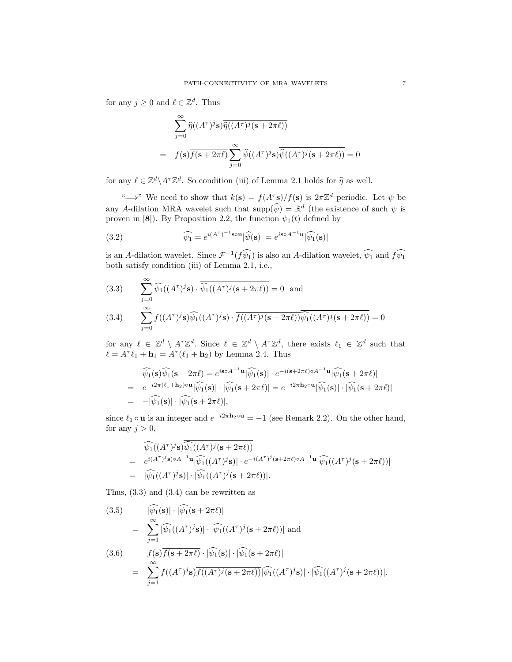for any  $j \geq 0$  and  $\ell \in \mathbb{Z}^d$ . Thus

$$
\sum_{j=0}^{\infty} \widehat{\eta}((A^{\tau})^j \mathbf{s}) \overline{\widehat{\eta}((A^{\tau})^j (\mathbf{s} + 2\pi \ell))}
$$
  
=  $f(\mathbf{s}) \overline{f(\mathbf{s} + 2\pi \ell)} \sum_{j=0}^{\infty} \widehat{\psi}((A^{\tau})^j \mathbf{s}) \overline{\widehat{\psi}((A^{\tau})^j (\mathbf{s} + 2\pi \ell))} = 0$ 

for any  $\ell \in \mathbb{Z}^d \backslash A^{\tau} \mathbb{Z}^d$ . So condition (iii) of Lemma 2.1 holds for  $\widehat{\eta}$  as well.

" $\implies$ " We need to show that  $k(s) = f(A^{\tau}s)/f(s)$  is  $2\pi\mathbb{Z}^{d}$  periodic. Let  $\psi$  be any A-dilation MRA wavelet such that  $\text{supp}(\widehat{\psi}) = \mathbb{R}^d$  (the existence of such  $\psi$  is proven in [8]). By Proposition 2.2, the function  $\psi_1(t)$  defined by

(3.2) 
$$
\widehat{\psi_1} = e^{i(A^{\tau})^{-1} \mathbf{s} \circ \mathbf{u}} |\widehat{\psi}(\mathbf{s})| = e^{i \mathbf{s} \circ A^{-1} \mathbf{u}} |\widehat{\psi_1}(\mathbf{s})|
$$

is an A-dilation wavelet. Since  $\mathcal{F}^{-1}(f\widehat{\psi_1})$  is also an A-dilation wavelet,  $\widehat{\psi_1}$  and  $f\widehat{\psi_1}$ both satisfy condition (iii) of Lemma 2.1, i.e.,

(3.3) 
$$
\sum_{j=0}^{\infty} \widehat{\psi_1}((A^{\tau})^j \mathbf{s}) \cdot \overline{\widehat{\psi_1}((A^{\tau})^j(\mathbf{s}+2\pi\ell))} = 0 \text{ and }
$$

(3.4) 
$$
\sum_{j=0} f((A^{\tau})^j \mathbf{s}) \widehat{\psi_1}((A^{\tau})^j \mathbf{s}) \cdot \overline{f((A^{\tau})^j (\mathbf{s} + 2\pi \ell))} \widehat{\psi_1}((A^{\tau})^j (\mathbf{s} + 2\pi \ell))} = 0
$$

for any  $\ell \in \mathbb{Z}^d \setminus A^{\tau} \mathbb{Z}^d$ . Since  $\ell \in \mathbb{Z}^d \setminus A^{\tau} \mathbb{Z}^d$ , there exists  $\ell_1 \in \mathbb{Z}^d$  such that  $\ell = A^{\tau} \ell_1 + \mathbf{h}_1 = A^{\tau} (\ell_1 + \mathbf{h}_2)$  by Lemma 2.4. Thus

$$
\begin{split} \widehat{\psi_1}(\mathbf{s}) \overline{\widehat{\psi_1}(\mathbf{s}+2\pi\ell)} &= e^{i\mathbf{s}\circ A^{-1}\mathbf{u}} |\widehat{\psi_1}(\mathbf{s})| \cdot e^{-i(\mathbf{s}+2\pi\ell)\circ A^{-1}\mathbf{u}} |\widehat{\psi_1}(\mathbf{s}+2\pi\ell)| \\ &= e^{-i2\pi(\ell_1+\mathbf{h}_2)\circ\mathbf{u}} |\widehat{\psi_1}(\mathbf{s})| \cdot |\widehat{\psi_1}(\mathbf{s}+2\pi\ell)| = e^{-i2\pi\mathbf{h}_2\circ\mathbf{u}} |\widehat{\psi_1}(\mathbf{s})| \cdot |\widehat{\psi_1}(\mathbf{s}+2\pi\ell)| \\ &= -|\widehat{\psi_1}(\mathbf{s})| \cdot |\widehat{\psi_1}(\mathbf{s}+2\pi\ell)|, \end{split}
$$

since  $\ell_1 \circ \mathbf{u}$  is an integer and  $e^{-i2\pi \mathbf{h}_2 \circ \mathbf{u}} = -1$  (see Remark 2.2). On the other hand, for any  $j > 0$ ,

$$
\widehat{\psi_1}((A^{\tau})^j \mathbf{s}) \widehat{\psi_1}((A^{\tau})^j (\mathbf{s} + 2\pi \ell))
$$
\n
$$
= e^{i(A^{\tau})^j \mathbf{s}) \circ A^{-1} \mathbf{u}} |\widehat{\psi_1}((A^{\tau})^j \mathbf{s})| \cdot e^{-i(A^{\tau})^j (\mathbf{s} + 2\pi \ell) \circ A^{-1} \mathbf{u}} |\widehat{\psi_1}((A^{\tau})^j (\mathbf{s} + 2\pi \ell))|
$$
\n
$$
= |\widehat{\psi_1}((A^{\tau})^j \mathbf{s})| \cdot |\widehat{\psi_1}((A^{\tau})^j (\mathbf{s} + 2\pi \ell))|.
$$

Thus, (3.3) and (3.4) can be rewritten as

(3.5) 
$$
|\widehat{\psi_1}(\mathbf{s})| \cdot |\widehat{\psi_1}(\mathbf{s} + 2\pi \ell)|
$$
  
\n
$$
= \sum_{j=1}^{\infty} |\widehat{\psi_1}((A^{\tau})^j \mathbf{s})| \cdot |\widehat{\psi_1}((A^{\tau})^j (\mathbf{s} + 2\pi \ell))|
$$
and  
\n(3.6) 
$$
f(\mathbf{s}) \overline{f(\mathbf{s} + 2\pi \ell)} \cdot |\widehat{\psi_1}(\mathbf{s})| \cdot |\widehat{\psi_1}(\mathbf{s} + 2\pi \ell)|
$$
  
\n
$$
= \sum_{j=1}^{\infty} f((A^{\tau})^j \mathbf{s}) \overline{f((A^{\tau})^j (\mathbf{s} + 2\pi \ell))} |\widehat{\psi_1}((A^{\tau})^j \mathbf{s})| \cdot |\widehat{\psi_1}((A^{\tau})^j (\mathbf{s} + 2\pi \ell))|.
$$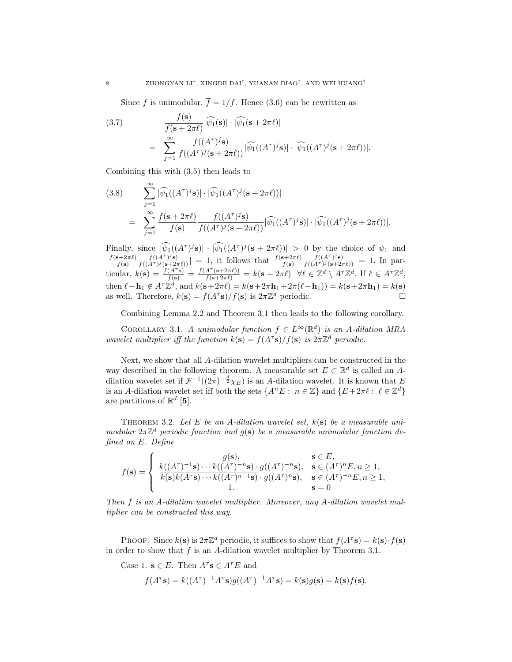Since f is unimodular,  $\overline{f} = 1/f$ . Hence (3.6) can be rewritten as

(3.7)  
\n
$$
\frac{f(\mathbf{s})}{f(\mathbf{s}+2\pi\ell)}|\widehat{\psi_1}(\mathbf{s})| \cdot |\widehat{\psi_1}(\mathbf{s}+2\pi\ell)|
$$
\n
$$
= \sum_{j=1}^{\infty} \frac{f((A^{\tau})^j \mathbf{s})}{f((A^{\tau})^j(\mathbf{s}+2\pi\ell))} |\widehat{\psi_1}((A^{\tau})^j \mathbf{s})| \cdot |\widehat{\psi_1}((A^{\tau})^j(\mathbf{s}+2\pi\ell))|.
$$

Combining this with (3.5) then leads to

(3.8) 
$$
\sum_{j=1}^{\infty} |\widehat{\psi_1}((A^{\tau})^j \mathbf{s})| \cdot |\widehat{\psi_1}((A^{\tau})^j (\mathbf{s} + 2\pi \ell))|
$$
  
= 
$$
\sum_{j=1}^{\infty} \frac{f(\mathbf{s} + 2\pi \ell)}{f(\mathbf{s})} \frac{f((A^{\tau})^j \mathbf{s})}{f((A^{\tau})^j (\mathbf{s} + 2\pi \ell))} |\widehat{\psi_1}((A^{\tau})^j \mathbf{s})| \cdot |\widehat{\psi_1}((A^{\tau})^j (\mathbf{s} + 2\pi \ell))|.
$$

Finally, since  $|\widehat{\psi_1}((A^{\tau})^j s)| \cdot |\widehat{\psi_1}((A^{\tau})^j (s + 2\pi \ell))| > 0$  by the choice of  $\psi_1$  and  $\frac{f(s+2\pi\ell)}{f(s)}$  $f(\mathbf{s})$  $\frac{f((A^{\tau})^j\mathbf{s})}{f((A^{\tau})^j(\mathbf{s}+2\pi\ell))}$  = 1, it follows that  $\frac{f(\mathbf{s}+2\pi\ell)}{f(\mathbf{s})}$  $\frac{f((A^{\tau})^j \mathbf{s})}{f((A^{\tau})^j (\mathbf{s}+2\pi \ell))} = 1$ . In particular,  $k(\mathbf{s}) = \frac{f(A^{\tau} \mathbf{s})}{f(\mathbf{s})} = \frac{f(A^{\tau}(\mathbf{s}+2\pi\ell))}{f(\mathbf{s}+2\pi\ell)} = k(\mathbf{s}+2\pi\ell) \quad \forall \ell \in \mathbb{Z}^d \setminus A^{\tau} \mathbb{Z}^d$ . If  $\ell \in A^{\tau} \mathbb{Z}^d$ , then  $\ell - \mathbf{h}_1 \notin A^{\tau} \mathbb{Z}^d$ , and  $k(\mathbf{s}+2\pi\ell) = k(\mathbf{s}+2\pi\mathbf{h}_1+2\pi(\ell-\mathbf{h}_1)) = k(\mathbf{s}+2\pi\mathbf{h}_1) = k(\mathbf{s})$ as well. Therefore,  $k(\mathbf{s}) = f(A^{\tau} \mathbf{s})/f(\mathbf{s})$  is  $2\pi \mathbb{Z}^{d}$  periodic.

Combining Lemma 2.2 and Theorem 3.1 then leads to the following corollary.

COROLLARY 3.1. A unimodular function  $f \in L^{\infty}(\mathbb{R}^d)$  is an A-dilation MRA wavelet multiplier iff the function  $k(s) = f(A^{\tau}s)/f(s)$  is  $2\pi\mathbb{Z}^{d}$  periodic.

Next, we show that all A-dilation wavelet multipliers can be constructed in the way described in the following theorem. A measurable set  $E \subset \mathbb{R}^d$  is called an Adilation wavelet set if  $\mathcal{F}^{-1}((2\pi)^{-\frac{d}{2}}\chi_E)$  is an A-dilation wavelet. It is known that E is an A-dilation wavelet set iff both the sets  $\{A^nE : n \in \mathbb{Z}\}\$  and  $\{E+2\pi\ell : \ell \in \mathbb{Z}^d\}$ are partitions of  $\mathbb{R}^d$  [5].

THEOREM 3.2. Let E be an A-dilation wavelet set,  $k(s)$  be a measurable unimodular  $2\pi\mathbb{Z}^d$  periodic function and  $g(s)$  be a measurable unimodular function defined on E. Define

$$
f(\mathbf{s}) = \begin{cases} g(\mathbf{s}), & \mathbf{s} \in E, \\ k((A^{\tau})^{-1}\mathbf{s}) \cdots k((A^{\tau})^{-n}\mathbf{s}) \cdot g((A^{\tau})^{-n}\mathbf{s}), & \mathbf{s} \in (A^{\tau})^{n}E, n \ge 1, \\ k(\mathbf{s})k(A^{\tau}\mathbf{s}) \cdots k((A^{\tau})^{n-1}\mathbf{s}) \cdot g((A^{\tau})^{n}\mathbf{s}), & \mathbf{s} \in (A^{\tau})^{-n}E, n \ge 1, \\ 1, & \mathbf{s} = 0 \end{cases}
$$

Then f is an A-dilation wavelet multiplier. Moreover, any A-dilation wavelet multiplier can be constructed this way.

PROOF. Since  $k(s)$  is  $2\pi\mathbb{Z}^d$  periodic, it suffices to show that  $f(A^{\tau}s) = k(s) \cdot f(s)$ in order to show that  $f$  is an A-dilation wavelet multiplier by Theorem 3.1.

Case 1.  $\mathbf{s} \in E$ . Then  $A^{\tau} \mathbf{s} \in A^{\tau} E$  and  $f(A^{\tau} s) = k((A^{\tau})^{-1} A^{\tau} s) g((A^{\tau})^{-1} A^{\tau} s) = k(s) g(s) = k(s) f(s).$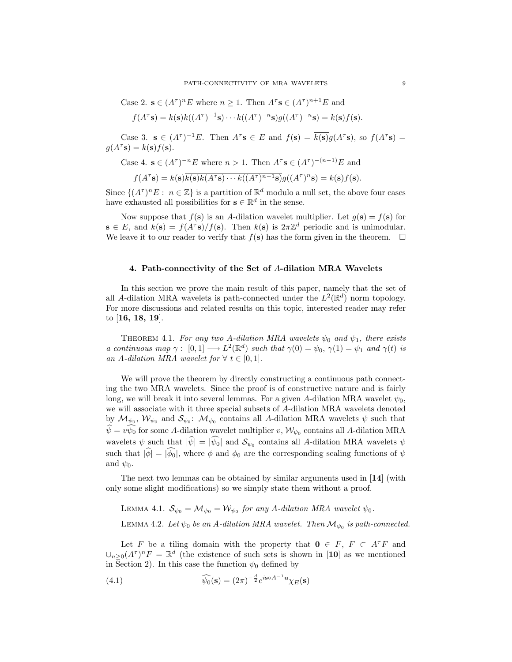Case 2.  $\mathbf{s} \in (A^{\tau})^n E$  where  $n \geq 1$ . Then  $A^{\tau} \mathbf{s} \in (A^{\tau})^{n+1} E$  and

$$
f(A^{\tau} \mathbf{s}) = k(\mathbf{s})k((A^{\tau})^{-1} \mathbf{s}) \cdots k((A^{\tau})^{-n} \mathbf{s})g((A^{\tau})^{-n} \mathbf{s}) = k(\mathbf{s})f(\mathbf{s}).
$$

Case 3.  $\mathbf{s} \in (A^{\tau})^{-1}E$ . Then  $A^{\tau} \mathbf{s} \in E$  and  $f(\mathbf{s}) = \overline{k(\mathbf{s})}g(A^{\tau}\mathbf{s})$ , so  $f(A^{\tau}\mathbf{s}) =$  $g(A^{\tau} s) = k(s) f(s).$ 

Case 4. 
$$
\mathbf{s} \in (A^{\tau})^{-n}E
$$
 where  $n > 1$ . Then  $A^{\tau} \mathbf{s} \in (A^{\tau})^{-(n-1)}E$  and

$$
f(A^{\tau} \mathbf{s}) = k(\mathbf{s}) \overline{k(\mathbf{s})k(A^{\tau} \mathbf{s}) \cdots k((A^{\tau})^{n-1} \mathbf{s})} g((A^{\tau})^{n} \mathbf{s}) = k(\mathbf{s}) f(\mathbf{s}).
$$

Since  $\{(A^{\tau})^n E: n \in \mathbb{Z}\}\$ is a partition of  $\mathbb{R}^d$  modulo a null set, the above four cases have exhausted all possibilities for  $\mathbf{s} \in \mathbb{R}^d$  in the sense.

Now suppose that  $f(\mathbf{s})$  is an A-dilation wavelet multiplier. Let  $g(\mathbf{s}) = f(\mathbf{s})$  for  $\mathbf{s} \in E$ , and  $k(\mathbf{s}) = f(A^{\tau} \mathbf{s})/f(\mathbf{s})$ . Then  $k(\mathbf{s})$  is  $2\pi \mathbb{Z}^{d}$  periodic and is unimodular. We leave it to our reader to verify that  $f(\mathbf{s})$  has the form given in the theorem.  $\Box$ 

#### 4. Path-connectivity of the Set of A-dilation MRA Wavelets

In this section we prove the main result of this paper, namely that the set of all A-dilation MRA wavelets is path-connected under the  $L^2(\mathbb{R}^d)$  norm topology. For more discussions and related results on this topic, interested reader may refer to [16, 18, 19].

THEOREM 4.1. For any two A-dilation MRA wavelets  $\psi_0$  and  $\psi_1$ , there exists a continuous map  $\gamma: [0,1] \longrightarrow L^2(\mathbb{R}^d)$  such that  $\gamma(0) = \psi_0, \gamma(1) = \psi_1$  and  $\gamma(t)$  is an A-dilation MRA wavelet for  $\forall t \in [0,1].$ 

We will prove the theorem by directly constructing a continuous path connecting the two MRA wavelets. Since the proof is of constructive nature and is fairly long, we will break it into several lemmas. For a given A-dilation MRA wavelet  $\psi_0$ , we will associate with it three special subsets of A-dilation MRA wavelets denoted by  $\mathcal{M}_{\psi_0}$ ,  $\mathcal{W}_{\psi_0}$  and  $\mathcal{S}_{\psi_0}$ :  $\mathcal{M}_{\psi_0}$  contains all A-dilation MRA wavelets  $\psi$  such that  $\widehat{\psi} = v \widehat{\psi}_0$  for some A-dilation wavelet multiplier v,  $\mathcal{W}_{\psi_0}$  contains all A-dilation MRA wavelets  $\psi$  such that  $|\hat{\psi}| = |\hat{\psi}_0|$  and  $\mathcal{S}_{\psi_0}$  contains all A-dilation MRA wavelets  $\psi$ such that  $|\hat{\phi}| = |\hat{\phi}_0|$ , where  $\phi$  and  $\phi_0$  are the corresponding scaling functions of  $\psi$ and  $\psi_0$ .

The next two lemmas can be obtained by similar arguments used in  $[14]$  (with only some slight modifications) so we simply state them without a proof.

LEMMA 4.1.  $\mathcal{S}_{\psi_0} = \mathcal{M}_{\psi_0} = \mathcal{W}_{\psi_0}$  for any A-dilation MRA wavelet  $\psi_0$ .

LEMMA 4.2. Let  $\psi_0$  be an A-dilation MRA wavelet. Then  $\mathcal{M}_{\psi_0}$  is path-connected.

Let F be a tiling domain with the property that  $0 \in F$ ,  $F \subset A^{\tau}F$  and  $\bigcup_{n\geq 0}(A^{\tau})^n F = \mathbb{R}^d$  (the existence of such sets is shown in [10] as we mentioned in Section 2). In this case the function  $\psi_0$  defined by

(4.1) 
$$
\widehat{\psi_0}(\mathbf{s}) = (2\pi)^{-\frac{d}{2}} e^{i\mathbf{s}\circ A^{-1}\mathbf{u}} \chi_E(\mathbf{s})
$$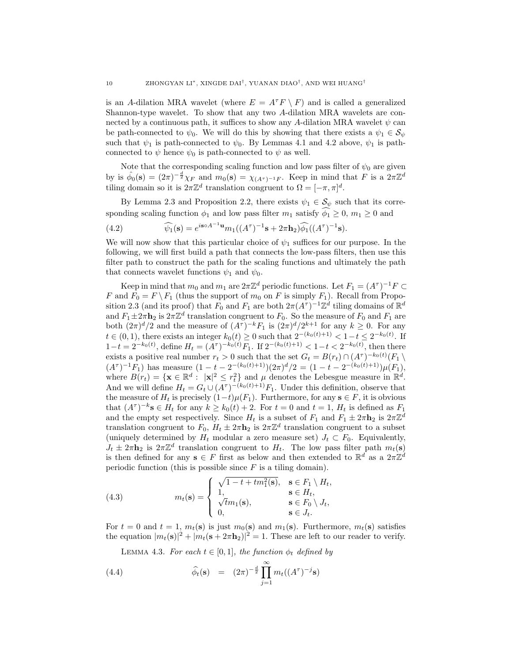is an A-dilation MRA wavelet (where  $E = A^T F \setminus F$ ) and is called a generalized Shannon-type wavelet. To show that any two A-dilation MRA wavelets are connected by a continuous path, it suffices to show any A-dilation MRA wavelet  $\psi$  can be path-connected to  $\psi_0$ . We will do this by showing that there exists a  $\psi_1 \in \mathcal{S}_{\psi}$ such that  $\psi_1$  is path-connected to  $\psi_0$ . By Lemmas 4.1 and 4.2 above,  $\psi_1$  is pathconnected to  $\psi$  hence  $\psi_0$  is path-connected to  $\psi$  as well.

Note that the corresponding scaling function and low pass filter of  $\psi_0$  are given by is  $\hat{\phi}_0(\mathbf{s}) = (2\pi)^{-\frac{d}{2}} \chi_F$  and  $m_0(\mathbf{s}) = \chi_{(A^{\tau})^{-1}F}$ . Keep in mind that F is a  $2\pi\mathbb{Z}^d$ tiling domain so it is  $2\pi\mathbb{Z}^d$  translation congruent to  $\Omega = [-\pi, \pi]^d$ .

By Lemma 2.3 and Proposition 2.2, there exists  $\psi_1 \in \mathcal{S}_{\psi}$  such that its corresponding scaling function  $\phi_1$  and low pass filter  $m_1$  satisfy  $\widehat{\phi_1} \geq 0$ ,  $m_1 \geq 0$  and

(4.2) 
$$
\widehat{\psi_1}(\mathbf{s}) = e^{i\mathbf{s}\circ A^{-1}\mathbf{u}} m_1((A^{\tau})^{-1}\mathbf{s} + 2\pi \mathbf{h}_2) \widehat{\phi_1}((A^{\tau})^{-1}\mathbf{s}).
$$

We will now show that this particular choice of  $\psi_1$  suffices for our purpose. In the following, we will first build a path that connects the low-pass filters, then use this filter path to construct the path for the scaling functions and ultimately the path that connects wavelet functions  $\psi_1$  and  $\psi_0$ .

Keep in mind that  $m_0$  and  $m_1$  are  $2\pi\mathbb{Z}^d$  periodic functions. Let  $F_1 = (A^{\tau})^{-1}F \subset$ F and  $F_0 = F \setminus F_1$  (thus the support of  $m_0$  on F is simply  $F_1$ ). Recall from Proposition 2.3 (and its proof) that  $F_0$  and  $F_1$  are both  $2\pi(A^{\tau})^{-1}\mathbb{Z}^d$  tiling domains of  $\mathbb{R}^d$ and  $F_1 \pm 2\pi \mathbf{h}_2$  is  $2\pi \mathbb{Z}^d$  translation congruent to  $F_0$ . So the measure of  $F_0$  and  $F_1$  are both  $(2\pi)^d/2$  and the measure of  $(A^{\tau})^{-k}F_1$  is  $(2\pi)^d/2^{k+1}$  for any  $k \geq 0$ . For any  $t \in (0, 1)$ , there exists an integer  $k_0(t) \geq 0$  such that  $2^{-(k_0(t)+1)} < 1-t \leq 2^{-k_0(t)}$ . If  $1-t = 2^{-k_0(t)}$ , define  $H_t = (A^{\tau})^{-k_0(t)} F_1$ . If  $2^{-(k_0(t)+1)} < 1-t < 2^{-k_0(t)}$ , then there exists a positive real number  $r_t > 0$  such that the set  $G_t = B(r_t) \cap (A^{\tau})^{-k_0(t)} (F_1 \setminus$  $(A^{\tau})^{-1}F_1$ ) has measure  $(1 - t - 2^{-(k_0(t)+1)})(2\pi)^d/2 = (1 - t - 2^{-(k_0(t)+1)})\mu(F_1),$ where  $B(r_t) = {\mathbf{x} \in \mathbb{R}^d : | \mathbf{x} |^2 \leq r_t^2}$  and  $\mu$  denotes the Lebesgue measure in  $\mathbb{R}^d$ . And we will define  $H_t = G_t \cup (A^{\tau})^{-(k_0(t)+1)} F_1$ . Under this definition, observe that the measure of  $H_t$  is precisely  $(1-t)\mu(F_1)$ . Furthermore, for any  $\mathbf{s} \in F$ , it is obvious that  $(A^{\tau})^{-k}$ **s**  $\in$   $H_t$  for any  $k \ge k_0(t) + 2$ . For  $t = 0$  and  $t = 1$ ,  $H_t$  is defined as  $F_1$ and the empty set respectively. Since  $H_t$  is a subset of  $F_1$  and  $F_1 \pm 2\pi \mathbf{h}_2$  is  $2\pi \mathbb{Z}^d$ translation congruent to  $F_0$ ,  $H_t \pm 2\pi \mathbf{h}_2$  is  $2\pi \mathbb{Z}^d$  translation congruent to a subset (uniquely determined by  $H_t$  modular a zero measure set)  $J_t \subset F_0$ . Equivalently,  $J_t \pm 2\pi \mathbf{h}_2$  is  $2\pi \mathbb{Z}^d$  translation congruent to  $H_t$ . The low pass filter path  $m_t(\mathbf{s})$ is then defined for any  $\mathbf{s} \in F$  first as below and then extended to  $\mathbb{R}^d$  as a  $2\pi\mathbb{Z}^d$ periodic function (this is possible since  $F$  is a tiling domain).

(4.3) 
$$
m_t(\mathbf{s}) = \begin{cases} \sqrt{1 - t + tm_1^2(\mathbf{s})}, & \mathbf{s} \in F_1 \setminus H_t, \\ 1, & \mathbf{s} \in H_t, \\ \sqrt{t}m_1(\mathbf{s}), & \mathbf{s} \in F_0 \setminus J_t, \\ 0, & \mathbf{s} \in J_t. \end{cases}
$$

For  $t = 0$  and  $t = 1$ ,  $m_t(\mathbf{s})$  is just  $m_0(\mathbf{s})$  and  $m_1(\mathbf{s})$ . Furthermore,  $m_t(\mathbf{s})$  satisfies the equation  $|m_t(\mathbf{s})|^2 + |m_t(\mathbf{s} + 2\pi \mathbf{h}_2)|^2 = 1$ . These are left to our reader to verify.

LEMMA 4.3. For each  $t \in [0,1]$ , the function  $\phi_t$  defined by

(4.4) 
$$
\widehat{\phi}_t(\mathbf{s}) = (2\pi)^{-\frac{d}{2}} \prod_{j=1}^{\infty} m_t((A^{\tau})^{-j} \mathbf{s})
$$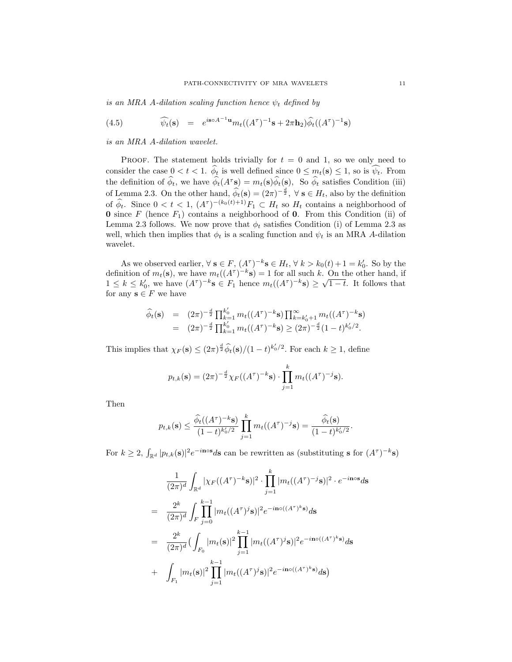is an MRA A-dilation scaling function hence  $\psi_t$  defined by

(4.5) 
$$
\widehat{\psi_t}(\mathbf{s}) = e^{i\mathbf{s}\circ A^{-1}\mathbf{u}} m_t((A^{\tau})^{-1}\mathbf{s} + 2\pi \mathbf{h}_2) \widehat{\phi_t}((A^{\tau})^{-1}\mathbf{s})
$$

is an MRA A-dilation wavelet.

PROOF. The statement holds trivially for  $t = 0$  and 1, so we only need to consider the case  $0 < t < 1$ .  $\hat{\phi}_t$  is well defined since  $0 \leq m_t(\mathbf{s}) \leq 1$ , so is  $\hat{\psi}_t$ . From the definition of  $\widehat{\phi}_t$ , we have  $\widehat{\phi}_t(A^{\tau} s) = m_t(s)\widehat{\phi}_t(s)$ , So  $\widehat{\phi}_t$  satisfies Condition (iii) of Lemma 2.3. On the other hand,  $\widehat{\phi}_t(\mathbf{s}) = (2\pi)^{-\frac{d}{2}}$ ,  $\forall \mathbf{s} \in H_t$ , also by the definition of  $\widehat{\phi}_t$ . Since  $0 < t < 1$ ,  $(A^{\tau})^{-(k_0(t)+1)}F_1 \subset H_t$  so  $H_t$  contains a neighborhood of **0** since  $F$  (hence  $F_1$ ) contains a neighborhood of **0**. From this Condition (ii) of Lemma 2.3 follows. We now prove that  $\phi_t$  satisfies Condition (i) of Lemma 2.3 as well, which then implies that  $\phi_t$  is a scaling function and  $\psi_t$  is an MRA A-dilation wavelet.

As we observed earlier,  $\forall s \in F$ ,  $(A^{\tau})^{-k} s \in H_t$ ,  $\forall k > k_0(t) + 1 = k'_0$ . So by the definition of  $m_t(s)$ , we have  $m_t((A^{\tau})^{-k}s) = 1$  for all such k. On the other hand, if definition of  $m_t$ (s), we have  $m_t$ ((A<sup>τ</sup>)  $\cdot$  s) = 1 for all such κ. On the other hand, if<br>1 ≤ k ≤ k'<sub>0</sub>, we have  $(A^{\tau})^{-k}$ **s** ∈ F<sub>1</sub> hence  $m_t((A^{\tau})^{-k}$ **s**) ≥  $\sqrt{1-t}$ . It follows that for any  $\mathbf{s}\in F$  we have

$$
\widehat{\phi}_t(\mathbf{s}) = (2\pi)^{-\frac{d}{2}} \prod_{k=1}^{k_0'} m_t((A^{\tau})^{-k} \mathbf{s}) \prod_{k=k_0'+1}^{\infty} m_t((A^{\tau})^{-k} \mathbf{s}) \n= (2\pi)^{-\frac{d}{2}} \prod_{k=1}^{k_0'} m_t((A^{\tau})^{-k} \mathbf{s}) \ge (2\pi)^{-\frac{d}{2}} (1-t)^{k_0'/2}.
$$

This implies that  $\chi_F(\mathbf{s}) \leq (2\pi)^{\frac{d}{2}} \widehat{\phi}_t(\mathbf{s})/(1-t)^{k'_0/2}$ . For each  $k \geq 1$ , define

$$
p_{t,k}(\mathbf{s}) = (2\pi)^{-\frac{d}{2}} \chi_F((A^{\tau})^{-k} \mathbf{s}) \cdot \prod_{j=1}^k m_t((A^{\tau})^{-j} \mathbf{s}).
$$

Then

$$
p_{t,k}(\mathbf{s}) \leq \frac{\widehat{\phi}_t((A^{\tau})^{-k}\mathbf{s})}{(1-t)^{k_0'/2}} \prod_{j=1}^k m_t((A^{\tau})^{-j}\mathbf{s}) = \frac{\widehat{\phi}_t(\mathbf{s})}{(1-t)^{k_0'/2}}.
$$

For  $k \geq 2$ , R  $\int_{\mathbb{R}^d} |p_{t,k}(\mathbf{s})|^2 e^{-i\mathbf{n}\circ \mathbf{s}} d\mathbf{s}$  can be rewritten as (substituting s for  $(A^{\tau})^{-k}$ s)

$$
\frac{1}{(2\pi)^d} \int_{\mathbb{R}^d} |\chi_F((A^{\tau})^{-k} \mathbf{s})|^2 \cdot \prod_{j=1}^k |m_t((A^{\tau})^{-j} \mathbf{s})|^2 \cdot e^{-i \mathbf{n} \cdot \mathbf{s}} d\mathbf{s}
$$
\n
$$
= \frac{2^k}{(2\pi)^d} \int_F \prod_{j=0}^{k-1} |m_t((A^{\tau})^j \mathbf{s})|^2 e^{-i \mathbf{n} \cdot \mathbf{o}((A^{\tau})^k \mathbf{s})} d\mathbf{s}
$$
\n
$$
= \frac{2^k}{(2\pi)^d} \Big(\int_{F_0} |m_t(\mathbf{s})|^2 \prod_{j=1}^{k-1} |m_t((A^{\tau})^j \mathbf{s})|^2 e^{-i \mathbf{n} \cdot \mathbf{o}((A^{\tau})^k \mathbf{s})} d\mathbf{s}
$$
\n
$$
+ \int_{F_1} |m_t(\mathbf{s})|^2 \prod_{j=1}^{k-1} |m_t((A^{\tau})^j \mathbf{s})|^2 e^{-i \mathbf{n} \cdot \mathbf{o}((A^{\tau})^k \mathbf{s})} d\mathbf{s} \Big)
$$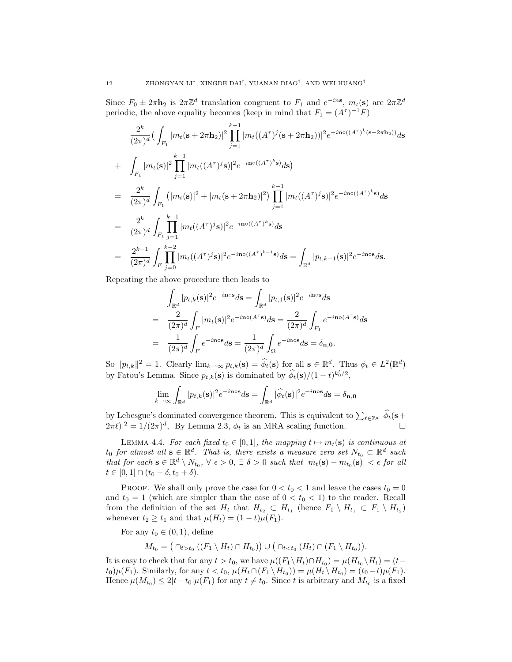Since  $F_0 \pm 2\pi \mathbf{h}_2$  is  $2\pi \mathbb{Z}^d$  translation congruent to  $F_1$  and  $e^{-ins}$ ,  $m_t(\mathbf{s})$  are  $2\pi \mathbb{Z}^d$ periodic, the above equality becomes (keep in mind that  $F_1 = (A^{\tau})^{-1}F$ )

$$
\frac{2^{k}}{(2\pi)^{d}} \left( \int_{F_{1}} |m_{t}(\mathbf{s}+2\pi \mathbf{h}_{2})|^{2} \prod_{j=1}^{k-1} |m_{t}((A^{\tau})^{j}(\mathbf{s}+2\pi \mathbf{h}_{2}))|^{2} e^{-i\mathbf{n} \circ ((A^{\tau})^{k}(\mathbf{s}+2\pi \mathbf{h}_{2}))} d\mathbf{s} \right)
$$
  
+ 
$$
\int_{F_{1}} |m_{t}(\mathbf{s})|^{2} \prod_{j=1}^{k-1} |m_{t}((A^{\tau})^{j}\mathbf{s})|^{2} e^{-i\mathbf{n} \circ ((A^{\tau})^{k}\mathbf{s})} d\mathbf{s} \right)
$$
  
= 
$$
\frac{2^{k}}{(2\pi)^{d}} \int_{F_{1}} (|m_{t}(\mathbf{s})|^{2} + |m_{t}(\mathbf{s}+2\pi \mathbf{h}_{2})|^{2}) \prod_{j=1}^{k-1} |m_{t}((A^{\tau})^{j}\mathbf{s})|^{2} e^{-i\mathbf{n} \circ ((A^{\tau})^{k}\mathbf{s})} d\mathbf{s}
$$
  
= 
$$
\frac{2^{k}}{(2\pi)^{d}} \int_{F_{1}} \prod_{j=1}^{k-1} |m_{t}((A^{\tau})^{j}\mathbf{s})|^{2} e^{-i\mathbf{n} \circ ((A^{\tau})^{k}\mathbf{s})} d\mathbf{s}
$$
  
= 
$$
\frac{2^{k-1}}{(2\pi)^{d}} \int_{F} \prod_{j=0}^{k-2} |m_{t}((A^{\tau})^{j}\mathbf{s})|^{2} e^{-i\mathbf{n} \circ ((A^{\tau})^{k-1}\mathbf{s})} d\mathbf{s} = \int_{\mathbb{R}^{d}} |p_{t,k-1}(\mathbf{s})|^{2} e^{-i\mathbf{n} \circ \mathbf{s}} d\mathbf{s}.
$$

Repeating the above procedure then leads to

$$
\int_{\mathbb{R}^d} |p_{t,k}(\mathbf{s})|^2 e^{-i\mathbf{n}\circ\mathbf{s}} d\mathbf{s} = \int_{\mathbb{R}^d} |p_{t,1}(\mathbf{s})|^2 e^{-i\mathbf{n}\circ\mathbf{s}} d\mathbf{s}
$$
\n
$$
= \frac{2}{(2\pi)^d} \int_F |m_t(\mathbf{s})|^2 e^{-i\mathbf{n}\circ(A^\tau \mathbf{s})} d\mathbf{s} = \frac{2}{(2\pi)^d} \int_{F_1} e^{-i\mathbf{n}\circ(A^\tau \mathbf{s})} d\mathbf{s}
$$
\n
$$
= \frac{1}{(2\pi)^d} \int_F e^{-i\mathbf{n}\circ\mathbf{s}} d\mathbf{s} = \frac{1}{(2\pi)^d} \int_{\Omega} e^{-i\mathbf{n}\circ\mathbf{s}} d\mathbf{s} = \delta_{\mathbf{n},\mathbf{0}}.
$$

So  $||p_{t,k}||^2 = 1$ . Clearly  $\lim_{k\to\infty} p_{t,k}(\mathbf{s}) = \widehat{\phi}_t(\mathbf{s})$  for all  $\mathbf{s} \in \mathbb{R}^d$ . Thus  $\phi_t \in L^2(\mathbb{R}^d)$ by Fatou's Lemma. Since  $p_{t,k}(\mathbf{s})$  is dominated by  $\widehat{\phi}_t(\mathbf{s})/(1-t)^{k_0^t/2}$ ,

$$
\lim_{k \to \infty} \int_{\mathbb{R}^d} |p_{t,k}(\mathbf{s})|^2 e^{-i \mathbf{n} \circ \mathbf{s}} d\mathbf{s} = \int_{\mathbb{R}^d} |\widehat{\phi}_t(\mathbf{s})|^2 e^{-i \mathbf{n} \circ \mathbf{s}} d\mathbf{s} = \delta_{\mathbf{n},\mathbf{0}}
$$

by Lebesgue's dominated convergence theorem. This is equivalent to  $\sum_{\ell \in \mathbb{Z}^d} |\widehat{\phi}_t(\mathbf{s}+$  $(2\pi\ell)|^2 = 1/(2\pi)^d$ , By Lemma 2.3,  $\phi_t$  is an MRA scaling function.

LEMMA 4.4. For each fixed  $t_0 \in [0, 1]$ , the mapping  $t \mapsto m_t(\mathbf{s})$  is continuous at  $t_0$  for almost all  $\mathbf{s} \in \mathbb{R}^d$ . That is, there exists a measure zero set  $N_{t_0} \subset \mathbb{R}^d$  such that for each  $\mathbf{s} \in \mathbb{R}^d \setminus N_{t_0}$ ,  $\forall \epsilon > 0$ ,  $\exists \delta > 0$  such that  $|m_t(\mathbf{s}) - m_{t_0}(\mathbf{s})| < \epsilon$  for all  $t \in [0, 1] \cap (t_0 - \delta, t_0 + \delta).$ 

PROOF. We shall only prove the case for  $0 < t_0 < 1$  and leave the cases  $t_0 = 0$ and  $t_0 = 1$  (which are simpler than the case of  $0 < t_0 < 1$ ) to the reader. Recall from the definition of the set  $H_t$  that  $H_{t_2} \subset H_{t_1}$  (hence  $F_1 \setminus H_{t_1} \subset F_1 \setminus H_{t_2}$ ) whenever  $t_2 \geq t_1$  and that  $\mu(H_t) = (1-t)\mu(F_1)$ .

For any  $t_0 \in (0,1)$ , define

 $M_{t_0} =$ ¡  $\cap_{t>t_0} ((F_1 \setminus H_t) \cap H_{t_0})$ ¢ ∪ ¡  $\cap_{t < t_0} (H_t) \cap (F_1 \setminus H_{t_0})$ ¢ .

It is easy to check that for any  $t > t_0$ , we have  $\mu((F_1 \backslash H_t) \cap H_{t_0}) = \mu(H_{t_0} \backslash H_t) = (t-t_0)$  $t_0\mu(F_1)$ . Similarly, for any  $t < t_0$ ,  $\mu(H_t \cap (F_1 \setminus H_{t_0})) = \mu(H_t \setminus H_{t_0}) = (t_0 - t)\mu(F_1)$ . Hence  $\mu(M_{t_0}) \leq 2|t-t_0|\mu(F_1)$  for any  $t \neq t_0$ . Since t is arbitrary and  $M_{t_0}$  is a fixed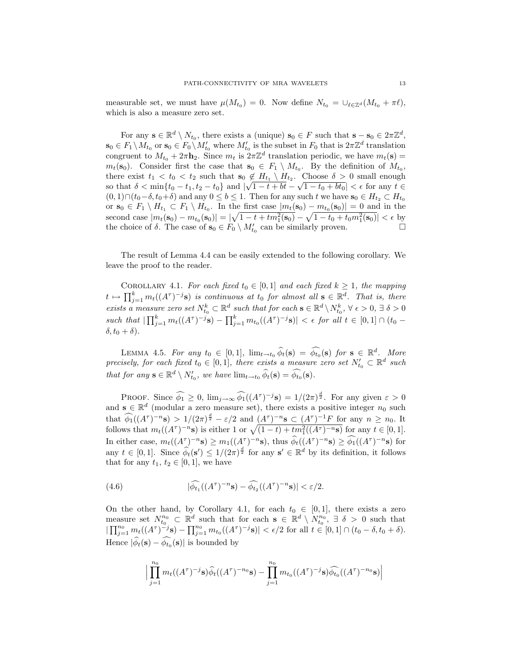measurable set, we must have  $\mu(M_{t_0}) = 0$ . Now define  $N_{t_0} = \bigcup_{\ell \in \mathbb{Z}^d} (M_{t_0} + \pi \ell),$ which is also a measure zero set.

For any  $\mathbf{s} \in \mathbb{R}^d \setminus N_{t_0}$ , there exists a (unique)  $\mathbf{s}_0 \in F$  such that  $\mathbf{s} - \mathbf{s}_0 \in 2\pi \mathbb{Z}^d$ ,  $\mathbf{s}_0 \in F_1 \setminus M_{t_0}$  or  $\mathbf{s}_0 \in F_0 \setminus M'_{t_0}$  where  $M'_{t_0}$  is the subset in  $F_0$  that is  $2\pi \mathbb{Z}^d$  translation congruent to  $M_{t_0} + 2\pi \mathbf{h}_2$ . Since  $m_t$  is  $2\pi \mathbb{Z}^d$  translation periodic, we have  $m_t(\mathbf{s}) =$  $m_t(\mathbf{s}_0)$ . Consider first the case that  $\mathbf{s}_0 \in F_1 \setminus M_{t_0}$ . By the definition of  $M_{t_0}$ , there exist  $t_1 < t_0 < t_2$  such that  $s_0 \notin H_{t_1} \setminus H_{t_2}$ . Choose  $\delta > 0$  small enough so that  $\delta < \min\{t_0 - t_1, t_2 - t_0\}$  and  $|\sqrt{1 - t + bt} - \sqrt{1 - t_0 + bt_0}| < \epsilon$  for any  $t \in$  $(0, 1) \cap (t_0-\delta, t_0+\delta)$  and any  $0 \leq b \leq 1$ . Then for any such t we have  $\mathbf{s}_0 \in H_{t_2} \subset H_{t_0}$ or  $\mathbf{s}_0 \in F_1 \setminus H_{t_1} \subset F_1 \setminus H_{t_0}$ . In the first case  $|m_t(\mathbf{s}_0) - m_{t_0}(\mathbf{s}_0)| = 0$  and in the second case  $|m_t(\mathbf{s}_0) - m_{t_0}(\mathbf{s}_0)| = |\sqrt{1 - t + tm_1^2(\mathbf{s}_0)} - \sqrt{1 - t_0 + t_0 m_1^2(\mathbf{s}_0)}| < \epsilon$  by the choice of  $\delta$ . The case of  $\mathbf{s}_0 \in F_0 \setminus M'_{t_0}$  can be similarly proven.

The result of Lemma 4.4 can be easily extended to the following corollary. We leave the proof to the reader.

COROLLARY 4.1. For each fixed  $t_0 \in [0,1]$  and each fixed  $k \geq 1$ , the mapping  $t \mapsto \prod_{j=1}^k m_t((A^{\tau})^{-j}s)$  is continuous at  $t_0$  for almost all  $s \in \mathbb{R}^d$ . That is, there exists a measure zero set  $N_{t_0}^k \subset \mathbb{R}^d$  such that for each  $s \in \mathbb{R}^d \setminus N_{t_0}^k$ ,  $\forall \epsilon > 0$ ,  $\exists \delta > 0$ such that  $|\prod_{j=1}^k m_t((A^{\tau})^{-j}s) - \prod_{j=1}^k m_{t_0}((A^{\tau})^{-j}s)| < \epsilon$  for all  $t \in [0,1] \cap (t_0 \delta, t_0 + \delta$ ).

LEMMA 4.5. For any  $t_0 \in [0,1]$ ,  $\lim_{t \to t_0} \widehat{\phi}_t(\mathbf{s}) = \widehat{\phi}_{t_0}(\mathbf{s})$  for  $\mathbf{s} \in \mathbb{R}^d$ . More precisely, for each fixed  $t_0 \in [0,1]$ , there exists a measure zero set  $N'_{t_0} \subset \mathbb{R}^d$  such that for any  $\mathbf{s} \in \mathbb{R}^d \setminus N'_{t_0}$ , we have  $\lim_{t \to t_0} \widehat{\phi}_t(\mathbf{s}) = \widehat{\phi}_{t_0}(\mathbf{s})$ .

PROOF. Since  $\widehat{\phi_1} \geq 0$ ,  $\lim_{j\to\infty} \widehat{\phi_1}((A^{\tau})^{-j}s) = 1/(2\pi)^{\frac{d}{2}}$ . For any given  $\varepsilon > 0$ and  $\mathbf{s} \in \mathbb{R}^d$  (modular a zero measure set), there exists a positive integer  $n_0$  such that  $\widehat{\phi_1}((A^{\tau})^{-n}\mathbf{s}) > 1/(2\pi)^{\frac{d}{2}} - \varepsilon/2$  and  $(A^{\tau})^{-n}\mathbf{s} \subset (A^{\tau})^{-1}F$  for any  $n \ge n_0$ . It that  $\varphi_1((A^{\tau})^{-n}S) > 1/(2\pi)^2 - \varepsilon/2$  and  $(A^{\tau})^{-n}S \subset (A^{\tau})^{-1}F$  for any  $n \ge n_0$ . It follows that  $m_t((A^{\tau})^{-n}S)$  is either 1 or  $\sqrt{(1-t) + tm_1^2((A^{\tau})^{-n}S)}$  for any  $t \in [0, 1]$ . In either case,  $m_t((A^{\tau})^{-n}s) \geq m_1((A^{\tau})^{-n}s)$ , thus  $\widehat{\phi}_t((A^{\tau})^{-n}s) \geq \widehat{\phi}_1((A^{\tau})^{-n}s)$  for any  $t \in [0,1]$ . Since  $\widehat{\phi}_t(\mathbf{s}') \leq 1/(2\pi)^{\frac{d}{2}}$  for any  $\mathbf{s}' \in \mathbb{R}^d$  by its definition, it follows that for any  $t_1, t_2 \in [0, 1]$ , we have

(4.6) 
$$
|\widehat{\phi_{t_1}}((A^{\tau})^{-n}\mathbf{s}) - \widehat{\phi_{t_2}}((A^{\tau})^{-n}\mathbf{s})| < \varepsilon/2.
$$

On the other hand, by Corollary 4.1, for each  $t_0 \in [0,1]$ , there exists a zero measure set  $N_{t_0}^{n_0} \subset \mathbb{R}^d$  such that for each  $s \in \mathbb{R}^d \setminus N_{t_0}^{n_0}$ ,  $\exists \delta > 0$  such that  $\prod_{j=1}^{\infty} m_t((A^{\tau})^{-j}s) - \prod_{j=1}^{\infty} m_{t_0}((A^{\tau})^{-j}s)| < \epsilon/2$  for all  $t \in [0,1] \cap (t_0 - \delta, t_0 + \delta)$ . Hence  $|\widehat{\phi}_t(\mathbf{s}) - \widehat{\phi}_{t_0}(\mathbf{s})|$  is bounded by

$$
\Big|\prod_{j=1}^{n_0} m_t((A^{\tau})^{-j} \mathbf{s}) \widehat{\phi}_t((A^{\tau})^{-n_0} \mathbf{s}) - \prod_{j=1}^{n_0} m_{t_0}((A^{\tau})^{-j} \mathbf{s}) \widehat{\phi_{t_0}}((A^{\tau})^{-n_0} \mathbf{s})\Big|
$$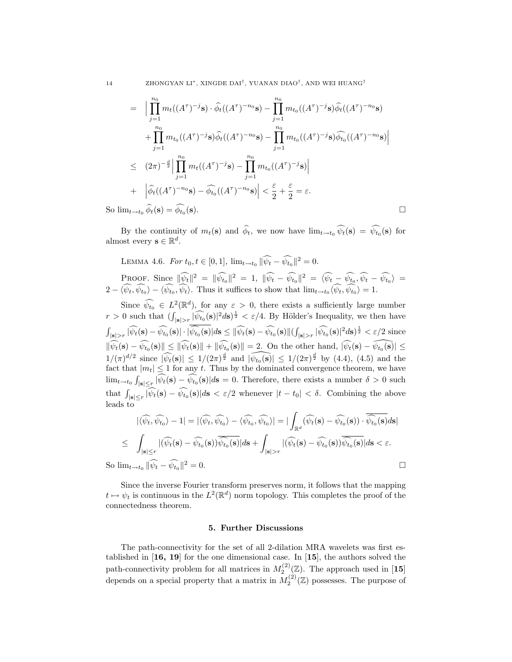14 ZHONGYAN LI<sup>∗</sup>, XINGDE DAI<sup>†</sup>, YUANAN DIAO<sup>†</sup>, AND WEI HUANG<sup>†</sup>

$$
= \Big| \prod_{j=1}^{n_0} m_t((A^{\tau})^{-j} \mathbf{s}) \cdot \widehat{\phi}_t((A^{\tau})^{-n_0} \mathbf{s}) - \prod_{j=1}^{n_0} m_{t_0}((A^{\tau})^{-j} \mathbf{s}) \widehat{\phi}_t((A^{\tau})^{-n_0} \mathbf{s})
$$
  
+ 
$$
\prod_{j=1}^{n_0} m_{t_0}((A^{\tau})^{-j} \mathbf{s}) \widehat{\phi}_t((A^{\tau})^{-n_0} \mathbf{s}) - \prod_{j=1}^{n_0} m_{t_0}((A^{\tau})^{-j} \mathbf{s}) \widehat{\phi}_{t_0}((A^{\tau})^{-n_0} \mathbf{s}) \Big|
$$
  

$$
\leq (2\pi)^{-\frac{d}{2}} \Big| \prod_{j=1}^{n_0} m_t((A^{\tau})^{-j} \mathbf{s}) - \prod_{j=1}^{n_0} m_{t_0}((A^{\tau})^{-j} \mathbf{s}) \Big|
$$
  
+ 
$$
\Big| \widehat{\phi}_t((A^{\tau})^{-n_0} \mathbf{s}) - \widehat{\phi}_{t_0}((A^{\tau})^{-n_0} \mathbf{s}) \Big| < \frac{\varepsilon}{2} + \frac{\varepsilon}{2} = \varepsilon.
$$
  

$$
m_{t \to t_0} \widehat{\phi}_t(\mathbf{s}) = \widehat{\phi}_{t_0}(\mathbf{s}).
$$

So  $\lim_{t\to t_0} \phi_t(\mathbf{s}) = \phi_{t_0}(\mathbf{s}).$ 

By the continuity of  $m_t(\mathbf{s})$  and  $\widehat{\phi}_t$ , we now have  $\lim_{t\to t_0} \widehat{\psi}_t(\mathbf{s}) = \widehat{\psi}_{t_0}(\mathbf{s})$  for almost every  $\mathbf{s} \in \mathbb{R}^d$ .

LEMMA 4.6. For 
$$
t_0, t \in [0, 1]
$$
,  $\lim_{t \to t_0} ||\widehat{\psi}_t - \widehat{\psi}_{t_0}||^2 = 0$ .  
\nPROOF. Since  $||\widehat{\psi}_t||^2 = ||\widehat{\psi}_{t_0}||^2 = 1$ ,  $||\widehat{\psi}_t - \widehat{\psi}_{t_0}||^2 = \langle \widehat{\psi}_t - \widehat{\psi}_{t_0}, \widehat{\psi}_t - \widehat{\psi}_{t_0} \rangle = 2 - \langle \widehat{\psi}_t, \widehat{\psi}_{t_0} \rangle - \langle \widehat{\psi}_{t_0}, \widehat{\psi}_t \rangle$ . Thus it suffices to show that  $\lim_{t \to t_0} \langle \widehat{\psi}_t, \widehat{\psi}_{t_0} \rangle = 1$ .

Since  $\widehat{\psi_{t_0}} \in L^2(\mathbb{R}^d)$ , for any  $\varepsilon > 0$ , there exists a sufficiently large number  $r > 0$  such that  $(\int_{|\mathbf{s}|>r} |\widehat{\psi_{t_0}}(\mathbf{s})|^2 d\mathbf{s})^{\frac{1}{2}} < \varepsilon/4$ . By Hölder's Inequality, we then have  $\int_{|\mathbf{s}|>r} |\widehat{\psi_t}(\mathbf{s}) - \widehat{\psi_{t_0}}(\mathbf{s})| \cdot |\widehat{\widetilde{\psi_{t_0}}(\mathbf{s})}| d\mathbf{s} \leq {\|\widehat{\psi_t}(\mathbf{s}) - \widehat{\psi_{t_0}}(\mathbf{s})\|}$  $\int_{|\mathbf{s}|>r} |\widehat{\psi_{t_0}}(\mathbf{s})|^2 d\mathbf{s} \, \frac{1}{2} < \varepsilon/2$  since  $\|\widehat{\psi_t}(\mathbf{s}) - \widehat{\psi_{t_0}}(\mathbf{s})\| \leq \|\widehat{\psi_t}(\mathbf{s})\| + \|\widehat{\psi_{t_0}}(\mathbf{s})\| = 2.$  On the other hand,  $|\widehat{\psi_t}(\mathbf{s}) - \widehat{\psi_{t_0}}(\mathbf{s})| \leq$  $1/(\pi)^{d/2}$  since  $|\widehat{\psi_t}(\mathbf{s})| \leq 1/(2\pi)^{\frac{d}{2}}$  and  $|\widehat{\psi_{t_0}(\mathbf{s})}| \leq 1/(2\pi)^{\frac{d}{2}}$  by (4.4), (4.5) and the fact that  $|m_t| \leq 1$  for any t. Thus by the dominated convergence theorem, we have  $\lim_{t\to t_0} \int_{|\mathbf{s}|\leq r} |\widehat{\psi_t}(\mathbf{s}) - \widehat{\psi_{t_0}}(\mathbf{s})| d\mathbf{s} = 0.$  Therefore, there exists a number  $\delta > 0$  such that  $\int_{|\mathbf{s}| \le r} |\psi_t(\mathbf{s}) - \hat{\psi}_{t_0}(\mathbf{s})| d\mathbf{s} < \varepsilon/2$  whenever  $|t - t_0| < \delta$ . Combining the above leads to

$$
|\langle \widehat{\psi_t}, \widehat{\psi_{t_0}} \rangle - 1| = |\langle \widehat{\psi_t}, \widehat{\psi_{t_0}} \rangle - \langle \widehat{\psi_{t_0}}, \widehat{\psi_{t_0}} \rangle| = |\int_{\mathbb{R}^d} (\widehat{\psi_t}(\mathbf{s}) - \widehat{\psi_{t_0}}(\mathbf{s})) \cdot \overline{\widehat{\psi_{t_0}}(\mathbf{s})} d\mathbf{s}|
$$
  
\n
$$
\leq \int_{|\mathbf{s}| \leq r} |(\widehat{\psi_t}(\mathbf{s}) - \widehat{\psi_{t_0}}(\mathbf{s})) \overline{\widehat{\psi_{t_0}}(\mathbf{s})} | d\mathbf{s} + \int_{|\mathbf{s}| > r} |(\widehat{\psi_t}(\mathbf{s}) - \widehat{\psi_{t_0}}(\mathbf{s})) \overline{\widehat{\psi_{t_0}}(\mathbf{s})} | d\mathbf{s} < \varepsilon.
$$
  
\n
$$
\lim_{t \to t_0} \|\widehat{\psi_t} - \widehat{\psi_{t_0}} \|^2 = 0.
$$

Since the inverse Fourier transform preserves norm, it follows that the mapping  $t \mapsto \psi_t$  is continuous in the  $L^2(\mathbb{R}^d)$  norm topology. This completes the proof of the connectedness theorem.

### 5. Further Discussions

The path-connectivity for the set of all 2-dilation MRA wavelets was first established in [16, 19] for the one dimensional case. In [15], the authors solved the path-connectivity problem for all matrices in  $M_2^{(2)}(\mathbb{Z})$ . The approach used in [15] depends on a special property that a matrix in  $M_2^{(2)}(\mathbb{Z})$  possesses. The purpose of

 $So$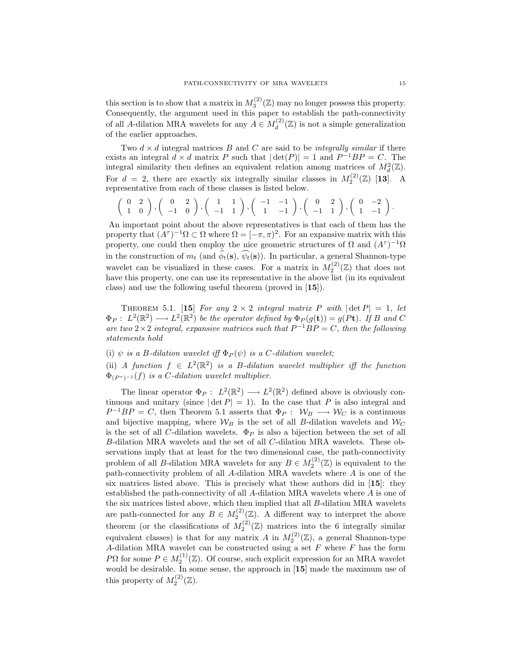this section is to show that a matrix in  $M_3^{(2)}(\mathbb{Z})$  may no longer possess this property. Consequently, the argument used in this paper to establish the path-connectivity of all A-dilation MRA wavelets for any  $A \in M_d^{(2)}$  $\frac{d^{(2)}(Z)}{d}$  is not a simple generalization of the earlier approaches.

Two  $d \times d$  integral matrices B and C are said to be *integrally similar* if there exists an integral  $d \times d$  matrix P such that  $|\det(P)| = 1$  and  $P^{-1}BP = C$ . The integral similarity then defines an equivalent relation among matrices of  $M_d^2(\mathbb{Z})$ . For  $d = 2$ , there are exactly six integrally similar classes in  $M_2^{(2)}(\mathbb{Z})$  [13]. A representative from each of these classes is listed below.

$$
\left(\begin{array}{cc}0&2\\1&0\end{array}\right),\left(\begin{array}{cc}0&2\\-1&0\end{array}\right),\left(\begin{array}{cc}1&1\\-1&1\end{array}\right),\left(\begin{array}{cc}-1&-1\\1&-1\end{array}\right),\left(\begin{array}{cc}0&2\\-1&1\end{array}\right),\left(\begin{array}{cc}0&-2\\1&-1\end{array}\right).
$$

An important point about the above representatives is that each of them has the property that  $(A^{\tau})^{-1}\Omega \subset \Omega$  where  $\Omega = [-\pi, \pi)^2$ . For an expansive matrix with this property, one could then employ the nice geometric structures of  $\Omega$  and  $(A^{\tau})^{-1}\Omega$ in the construction of  $m_t$  (and  $\phi_t(\mathbf{s}), \psi_t(\mathbf{s})$ ). In particular, a general Shannon-type wavelet can be visualized in these cases. For a matrix in  $M_2^{(2)}(\mathbb{Z})$  that does not have this property, one can use its representative in the above list (in its equivalent class) and use the following useful theorem (proved in [15]).

THEOREM 5.1. [15] For any  $2 \times 2$  integral matrix P with  $|\det P| = 1$ , let  $\Phi_P: L^2(\mathbb{R}^2) \longrightarrow L^2(\mathbb{R}^2)$  be the operator defined by  $\Phi_P(g(\mathbf{t})) = g(P\mathbf{t})$ . If B and C are two  $2 \times 2$  integral, expansive matrices such that  $P^{-1}BP = C$ , then the following statements hold

(i)  $\psi$  is a B-dilation wavelet iff  $\Phi_P(\psi)$  is a C-dilation wavelet;

(ii) A function  $f \in L^2(\mathbb{R}^2)$  is a B-dilation wavelet multiplier iff the function  $\Phi_{(P^{\tau})^{-1}}(f)$  is a C-dilation wavelet multiplier.

The linear operator  $\Phi_P: L^2(\mathbb{R}^2) \longrightarrow L^2(\mathbb{R}^2)$  defined above is obviously continuous and unitary (since  $|\det P| = 1$ ). In the case that P is also integral and  $P^{-1}BP = C$ , then Theorem 5.1 asserts that  $\Phi_P: W_B \longrightarrow W_C$  is a continuous and bijective mapping, where  $W_B$  is the set of all B-dilation wavelets and  $W_C$ is the set of all C-dilation wavelets.  $\Phi_P$  is also a bijection between the set of all B-dilation MRA wavelets and the set of all C-dilation MRA wavelets. These observations imply that at least for the two dimensional case, the path-connectivity problem of all *B*-dilation MRA wavelets for any  $B \in M_2^{(2)}(\mathbb{Z})$  is equivalent to the path-connectivity problem of all A-dilation MRA wavelets where A is one of the six matrices listed above. This is precisely what these authors did in [15]: they established the path-connectivity of all A-dilation MRA wavelets where A is one of the six matrices listed above, which then implied that all B-dilation MRA wavelets are path-connected for any  $B \in M_2^{(2)}(\mathbb{Z})$ . A different way to interpret the above theorem (or the classifications of  $M_2^{(2)}(\mathbb{Z})$  matrices into the 6 integrally similar equivalent classes) is that for any matrix A in  $M_2^{(2)}(\mathbb{Z})$ , a general Shannon-type A-dilation MRA wavelet can be constructed using a set  $F$  where  $F$  has the form PΩ for some  $P \in M_2^{(1)}(\mathbb{Z})$ . Of course, such explicit expression for an MRA wavelet would be desirable. In some sense, the approach in [15] made the maximum use of this property of  $M_2^{(2)}(\mathbb{Z})$ .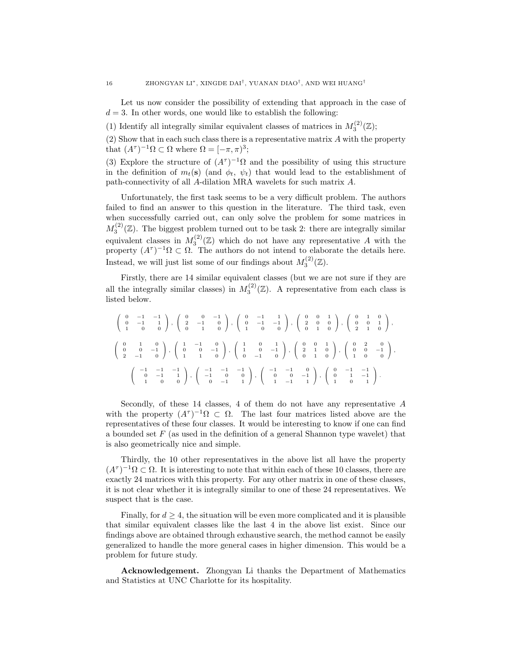Let us now consider the possibility of extending that approach in the case of  $d = 3$ . In other words, one would like to establish the following:

(1) Identify all integrally similar equivalent classes of matrices in  $M_3^{(2)}(\mathbb{Z})$ ;

(2) Show that in each such class there is a representative matrix A with the property that  $(A^{\tau})^{-1}\Omega \subset \Omega$  where  $\Omega = [-\pi, \pi)^3;$ 

(3) Explore the structure of  $(A^{\tau})^{-1}\Omega$  and the possibility of using this structure in the definition of  $m_t(s)$  (and  $\phi_t$ ,  $\psi_t$ ) that would lead to the establishment of path-connectivity of all A-dilation MRA wavelets for such matrix A.

Unfortunately, the first task seems to be a very difficult problem. The authors failed to find an answer to this question in the literature. The third task, even when successfully carried out, can only solve the problem for some matrices in  $M_3^{(2)}(\mathbb{Z})$ . The biggest problem turned out to be task 2: there are integrally similar equivalent classes in  $M_3^{(2)}(\mathbb{Z})$  which do not have any representative A with the property  $(A^{\tau})^{-1}\Omega \subset \Omega$ . The authors do not intend to elaborate the details here. Instead, we will just list some of our findings about  $M_3^{(2)}(\mathbb{Z})$ .

Firstly, there are 14 similar equivalent classes (but we are not sure if they are all the integrally similar classes) in  $M_3^{(2)}(\mathbb{Z})$ . A representative from each class is listed below.

$$
\left(\begin{array}{rrrrrr} 0 & -1 & -1 \\ 0 & -1 & 1 \\ 1 & 0 & 0 \end{array}\right),\ \left(\begin{array}{rrrr} 0 & 0 & -1 \\ 2 & -1 & 0 \\ 0 & 1 & 0 \end{array}\right),\ \left(\begin{array}{rrrr} 0 & -1 & 1 \\ 0 & -1 & -1 \\ 1 & 0 & 0 \end{array}\right),\ \left(\begin{array}{rrrr} 0 & 0 & 1 \\ 2 & 0 & 0 \\ 0 & 1 & 0 \end{array}\right),\ \left(\begin{array}{rrrr} 0 & 1 & 0 \\ 0 & 0 & 1 \\ 2 & 1 & 0 \end{array}\right),
$$

$$
\left(\begin{array}{rrrr} 0 & 1 & 0 \\ 0 & 0 & -1 \\ 2 & -1 & 0 \end{array}\right),\ \left(\begin{array}{rrrr} 1 & -1 & 0 \\ 0 & 0 & -1 \\ 1 & 1 & 0 \end{array}\right),\ \left(\begin{array}{rrrr} 1 & 0 & 1 \\ 1 & 0 & -1 \\ 0 & -1 & 0 \end{array}\right),\ \left(\begin{array}{rrrr} 0 & 0 & 1 \\ 2 & 1 & 0 \\ 0 & 1 & 0 \end{array}\right),\ \left(\begin{array}{rrrr} 0 & 2 & 0 \\ 0 & 0 & -1 \\ 1 & 0 & 0 \end{array}\right),
$$

$$
\left(\begin{array}{rrrr} -1 & -1 & -1 \\ 0 & -1 & 1 \\ 1 & 0 & 0 \end{array}\right),\ \left(\begin{array}{rrrr} -1 & -1 & -1 \\ -1 & 0 & 0 \\ 0 & -1 & 1 \end{array}\right),\ \left(\begin{array}{rrrr} -1 & -1 & 0 \\ 0 & 0 & -1 \\ 1 & -1 & 1 \end{array}\right),\ \left(\begin{array}{rrrr} 0 & -1 & -1 \\ 0 & 1 & -1 \\ 1 & 0 & 1 \end{array}\right).
$$

Secondly, of these 14 classes, 4 of them do not have any representative A with the property  $(A^{\tau})^{-1}\Omega \subset \Omega$ . The last four matrices listed above are the representatives of these four classes. It would be interesting to know if one can find a bounded set  $F$  (as used in the definition of a general Shannon type wavelet) that is also geometrically nice and simple.

Thirdly, the 10 other representatives in the above list all have the property  $(A^{\tau})^{-1}\Omega \subset \Omega$ . It is interesting to note that within each of these 10 classes, there are exactly 24 matrices with this property. For any other matrix in one of these classes, it is not clear whether it is integrally similar to one of these 24 representatives. We suspect that is the case.

Finally, for  $d \geq 4$ , the situation will be even more complicated and it is plausible that similar equivalent classes like the last 4 in the above list exist. Since our findings above are obtained through exhaustive search, the method cannot be easily generalized to handle the more general cases in higher dimension. This would be a problem for future study.

Acknowledgement. Zhongyan Li thanks the Department of Mathematics and Statistics at UNC Charlotte for its hospitality.